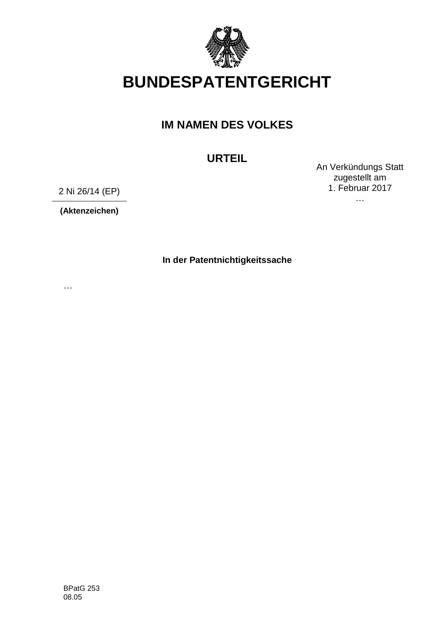

# **BUNDESPATENTGERICHT**

## **IM NAMEN DES VOLKES**

**URTEIL**

An Verkündungs Statt zugestellt am 1. Februar 2017

…

2 Ni 26/14 (EP)

**(Aktenzeichen)**

**In der Patentnichtigkeitssache**

…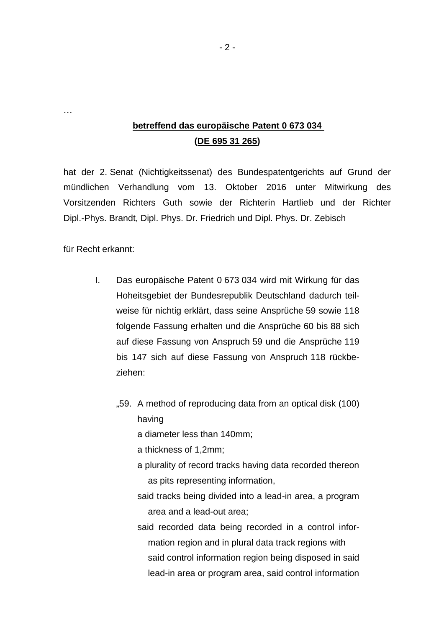### **betreffend das europäische Patent 0 673 034 (DE 695 31 265)**

hat der 2. Senat (Nichtigkeitssenat) des Bundespatentgerichts auf Grund der mündlichen Verhandlung vom 13. Oktober 2016 unter Mitwirkung des Vorsitzenden Richters Guth sowie der Richterin Hartlieb und der Richter Dipl.-Phys. Brandt, Dipl. Phys. Dr. Friedrich und Dipl. Phys. Dr. Zebisch

für Recht erkannt:

…

- I. Das europäische Patent 0 673 034 wird mit Wirkung für das Hoheitsgebiet der Bundesrepublik Deutschland dadurch teilweise für nichtig erklärt, dass seine Ansprüche 59 sowie 118 folgende Fassung erhalten und die Ansprüche 60 bis 88 sich auf diese Fassung von Anspruch 59 und die Ansprüche 119 bis 147 sich auf diese Fassung von Anspruch 118 rückbeziehen:
	- "59. A method of reproducing data from an optical disk (100) having

a diameter less than 140mm;

a thickness of 1,2mm;

- a plurality of record tracks having data recorded thereon as pits representing information,
- said tracks being divided into a lead-in area, a program area and a lead-out area;
- said recorded data being recorded in a control information region and in plural data track regions with said control information region being disposed in said lead-in area or program area, said control information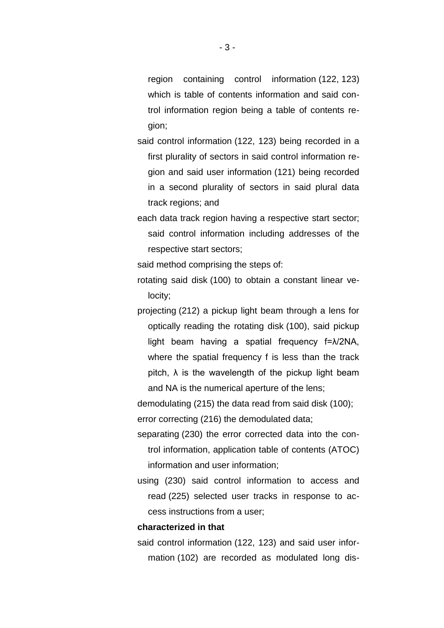region containing control information (122, 123) which is table of contents information and said control information region being a table of contents region;

said control information (122, 123) being recorded in a first plurality of sectors in said control information region and said user information (121) being recorded in a second plurality of sectors in said plural data track regions; and

each data track region having a respective start sector; said control information including addresses of the respective start sectors;

said method comprising the steps of:

rotating said disk (100) to obtain a constant linear velocity;

projecting (212) a pickup light beam through a lens for optically reading the rotating disk (100), said pickup light beam having a spatial frequency f=λ/2NA, where the spatial frequency f is less than the track pitch,  $\lambda$  is the wavelength of the pickup light beam and NA is the numerical aperture of the lens;

demodulating (215) the data read from said disk (100); error correcting (216) the demodulated data;

separating (230) the error corrected data into the control information, application table of contents (ATOC) information and user information;

using (230) said control information to access and read (225) selected user tracks in response to access instructions from a user;

#### **characterized in that**

said control information (122, 123) and said user information (102) are recorded as modulated long dis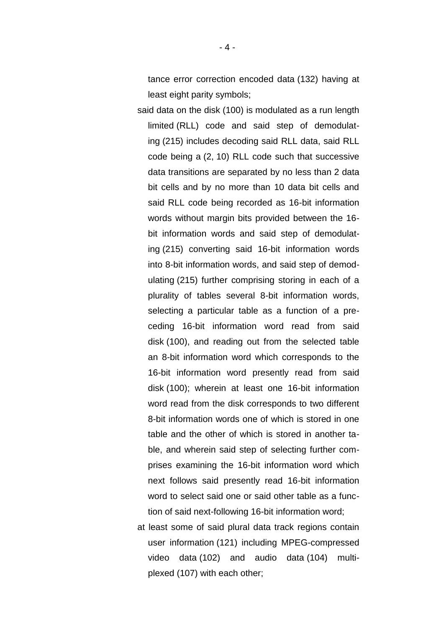tance error correction encoded data (132) having at least eight parity symbols;

said data on the disk (100) is modulated as a run length limited (RLL) code and said step of demodulating (215) includes decoding said RLL data, said RLL code being a (2, 10) RLL code such that successive data transitions are separated by no less than 2 data bit cells and by no more than 10 data bit cells and said RLL code being recorded as 16-bit information words without margin bits provided between the 16 bit information words and said step of demodulating (215) converting said 16-bit information words into 8-bit information words, and said step of demodulating (215) further comprising storing in each of a plurality of tables several 8-bit information words, selecting a particular table as a function of a preceding 16-bit information word read from said disk (100), and reading out from the selected table an 8-bit information word which corresponds to the 16-bit information word presently read from said disk (100); wherein at least one 16-bit information word read from the disk corresponds to two different 8-bit information words one of which is stored in one table and the other of which is stored in another table, and wherein said step of selecting further comprises examining the 16-bit information word which next follows said presently read 16-bit information word to select said one or said other table as a function of said next-following 16-bit information word;

at least some of said plural data track regions contain user information (121) including MPEG-compressed video data (102) and audio data (104) multiplexed (107) with each other;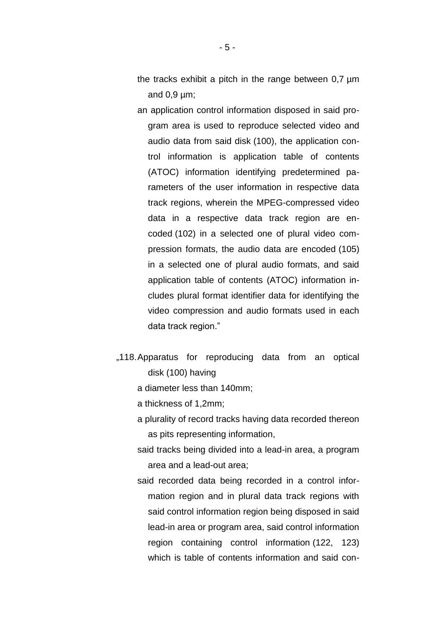- the tracks exhibit a pitch in the range between 0,7 µm and  $0.9 \mu m$ ;
- an application control information disposed in said program area is used to reproduce selected video and audio data from said disk (100), the application control information is application table of contents (ATOC) information identifying predetermined parameters of the user information in respective data track regions, wherein the MPEG-compressed video data in a respective data track region are encoded (102) in a selected one of plural video compression formats, the audio data are encoded (105) in a selected one of plural audio formats, and said application table of contents (ATOC) information includes plural format identifier data for identifying the video compression and audio formats used in each data track region."
- "118. Apparatus for reproducing data from an optical disk (100) having
	- a diameter less than 140mm;
	- a thickness of 1,2mm;
	- a plurality of record tracks having data recorded thereon as pits representing information,
	- said tracks being divided into a lead-in area, a program area and a lead-out area;
	- said recorded data being recorded in a control information region and in plural data track regions with said control information region being disposed in said lead-in area or program area, said control information region containing control information (122, 123) which is table of contents information and said con-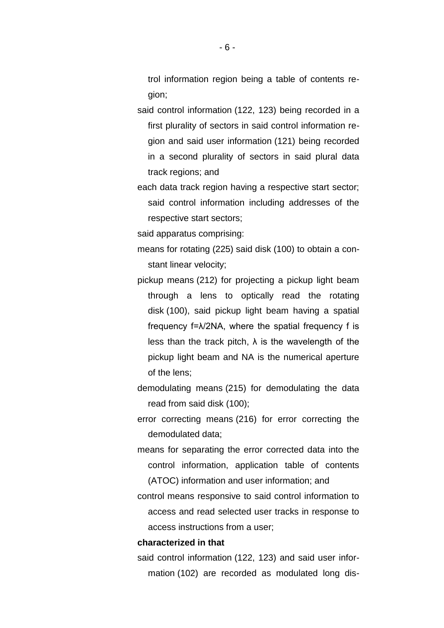trol information region being a table of contents region;

said control information (122, 123) being recorded in a first plurality of sectors in said control information region and said user information (121) being recorded in a second plurality of sectors in said plural data track regions; and

each data track region having a respective start sector; said control information including addresses of the respective start sectors;

said apparatus comprising:

- means for rotating (225) said disk (100) to obtain a constant linear velocity;
- pickup means (212) for projecting a pickup light beam through a lens to optically read the rotating disk (100), said pickup light beam having a spatial frequency  $f = \lambda/2NA$ , where the spatial frequency f is less than the track pitch,  $\lambda$  is the wavelength of the pickup light beam and NA is the numerical aperture of the lens;

demodulating means (215) for demodulating the data read from said disk (100);

error correcting means (216) for error correcting the demodulated data;

means for separating the error corrected data into the control information, application table of contents (ATOC) information and user information; and

control means responsive to said control information to access and read selected user tracks in response to access instructions from a user;

#### **characterized in that**

said control information (122, 123) and said user information (102) are recorded as modulated long dis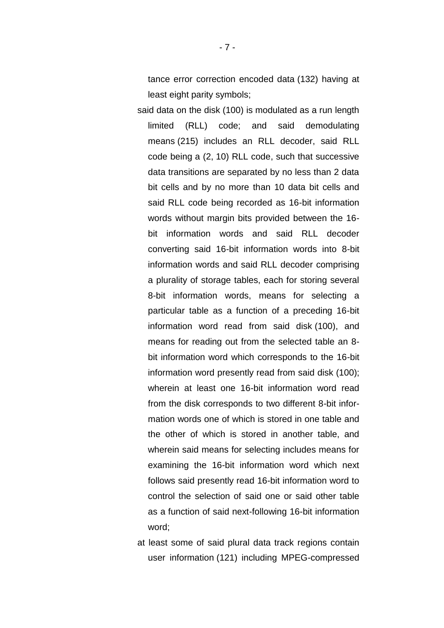tance error correction encoded data (132) having at least eight parity symbols;

said data on the disk (100) is modulated as a run length limited (RLL) code; and said demodulating means (215) includes an RLL decoder, said RLL code being a (2, 10) RLL code, such that successive data transitions are separated by no less than 2 data bit cells and by no more than 10 data bit cells and said RLL code being recorded as 16-bit information words without margin bits provided between the 16 bit information words and said RLL decoder converting said 16-bit information words into 8-bit information words and said RLL decoder comprising a plurality of storage tables, each for storing several 8-bit information words, means for selecting a particular table as a function of a preceding 16-bit information word read from said disk (100), and means for reading out from the selected table an 8 bit information word which corresponds to the 16-bit information word presently read from said disk (100); wherein at least one 16-bit information word read from the disk corresponds to two different 8-bit information words one of which is stored in one table and the other of which is stored in another table, and wherein said means for selecting includes means for examining the 16-bit information word which next follows said presently read 16-bit information word to control the selection of said one or said other table as a function of said next-following 16-bit information word;

at least some of said plural data track regions contain user information (121) including MPEG-compressed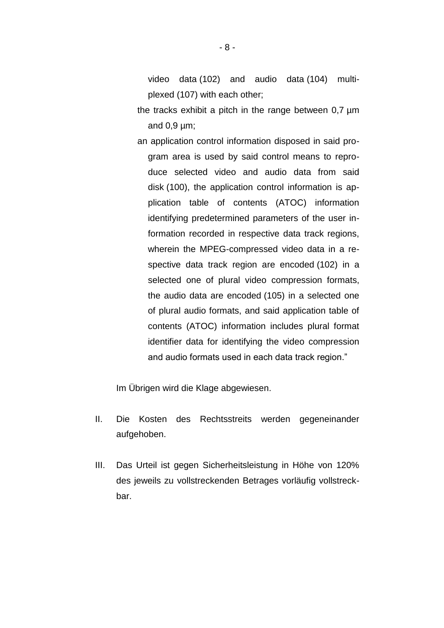video data (102) and audio data (104) multiplexed (107) with each other;

- the tracks exhibit a pitch in the range between 0,7 µm and  $0.9 \mu m$ ;
- an application control information disposed in said program area is used by said control means to reproduce selected video and audio data from said disk (100), the application control information is application table of contents (ATOC) information identifying predetermined parameters of the user information recorded in respective data track regions, wherein the MPEG-compressed video data in a respective data track region are encoded (102) in a selected one of plural video compression formats, the audio data are encoded (105) in a selected one of plural audio formats, and said application table of contents (ATOC) information includes plural format identifier data for identifying the video compression and audio formats used in each data track region."

Im Übrigen wird die Klage abgewiesen.

- II. Die Kosten des Rechtsstreits werden gegeneinander aufgehoben.
- III. Das Urteil ist gegen Sicherheitsleistung in Höhe von 120% des jeweils zu vollstreckenden Betrages vorläufig vollstreckbar.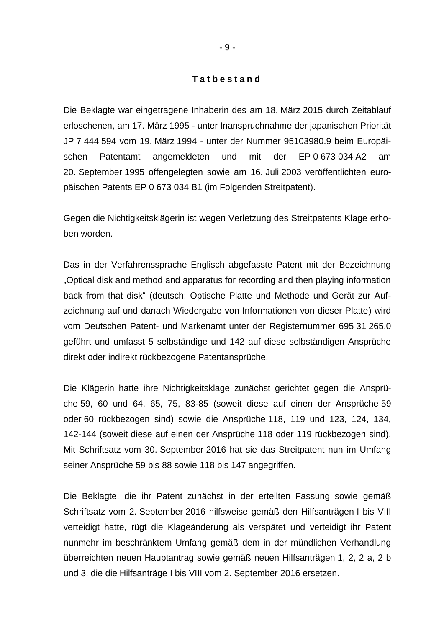#### **T a t b e s t a n d**

Die Beklagte war eingetragene Inhaberin des am 18. März 2015 durch Zeitablauf erloschenen, am 17. März 1995 - unter Inanspruchnahme der japanischen Priorität JP 7 444 594 vom 19. März 1994 - unter der Nummer 95103980.9 beim Europäischen Patentamt angemeldeten und mit der EP 0 673 034 A2 am 20. September 1995 offengelegten sowie am 16. Juli 2003 veröffentlichten europäischen Patents EP 0 673 034 B1 (im Folgenden Streitpatent).

Gegen die Nichtigkeitsklägerin ist wegen Verletzung des Streitpatents Klage erhoben worden.

Das in der Verfahrenssprache Englisch abgefasste Patent mit der Bezeichnung "Optical disk and method and apparatus for recording and then playing information back from that disk" (deutsch: Optische Platte und Methode und Gerät zur Aufzeichnung auf und danach Wiedergabe von Informationen von dieser Platte) wird vom Deutschen Patent- und Markenamt unter der Registernummer 695 31 265.0 geführt und umfasst 5 selbständige und 142 auf diese selbständigen Ansprüche direkt oder indirekt rückbezogene Patentansprüche.

Die Klägerin hatte ihre Nichtigkeitsklage zunächst gerichtet gegen die Ansprüche 59, 60 und 64, 65, 75, 83-85 (soweit diese auf einen der Ansprüche 59 oder 60 rückbezogen sind) sowie die Ansprüche 118, 119 und 123, 124, 134, 142-144 (soweit diese auf einen der Ansprüche 118 oder 119 rückbezogen sind). Mit Schriftsatz vom 30. September 2016 hat sie das Streitpatent nun im Umfang seiner Ansprüche 59 bis 88 sowie 118 bis 147 angegriffen.

Die Beklagte, die ihr Patent zunächst in der erteilten Fassung sowie gemäß Schriftsatz vom 2. September 2016 hilfsweise gemäß den Hilfsanträgen I bis VIII verteidigt hatte, rügt die Klageänderung als verspätet und verteidigt ihr Patent nunmehr im beschränktem Umfang gemäß dem in der mündlichen Verhandlung überreichten neuen Hauptantrag sowie gemäß neuen Hilfsanträgen 1, 2, 2 a, 2 b und 3, die die Hilfsanträge I bis VIII vom 2. September 2016 ersetzen.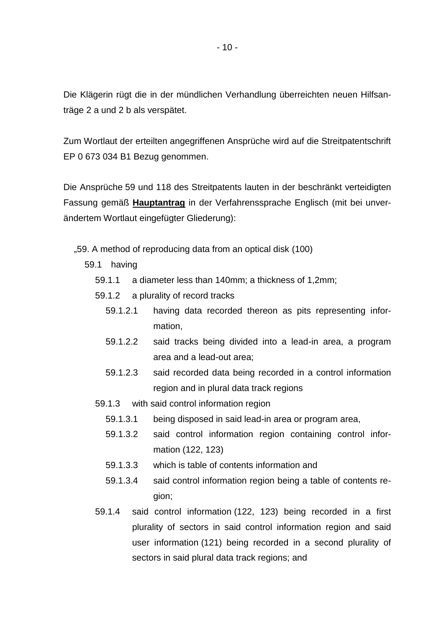Die Klägerin rügt die in der mündlichen Verhandlung überreichten neuen Hilfsanträge 2 a und 2 b als verspätet.

Zum Wortlaut der erteilten angegriffenen Ansprüche wird auf die Streitpatentschrift EP 0 673 034 B1 Bezug genommen.

Die Ansprüche 59 und 118 des Streitpatents lauten in der beschränkt verteidigten Fassung gemäß **Hauptantrag** in der Verfahrenssprache Englisch (mit bei unverändertem Wortlaut eingefügter Gliederung):

- "59. A method of reproducing data from an optical disk (100)
	- 59.1 having
		- 59.1.1 a diameter less than 140mm; a thickness of 1,2mm;
		- 59.1.2 a plurality of record tracks
			- 59.1.2.1 having data recorded thereon as pits representing information,
			- 59.1.2.2 said tracks being divided into a lead-in area, a program area and a lead-out area;
			- 59.1.2.3 said recorded data being recorded in a control information region and in plural data track regions
		- 59.1.3 with said control information region
			- 59.1.3.1 being disposed in said lead-in area or program area,
			- 59.1.3.2 said control information region containing control information (122, 123)
			- 59.1.3.3 which is table of contents information and
			- 59.1.3.4 said control information region being a table of contents region;
		- 59.1.4 said control information (122, 123) being recorded in a first plurality of sectors in said control information region and said user information (121) being recorded in a second plurality of sectors in said plural data track regions; and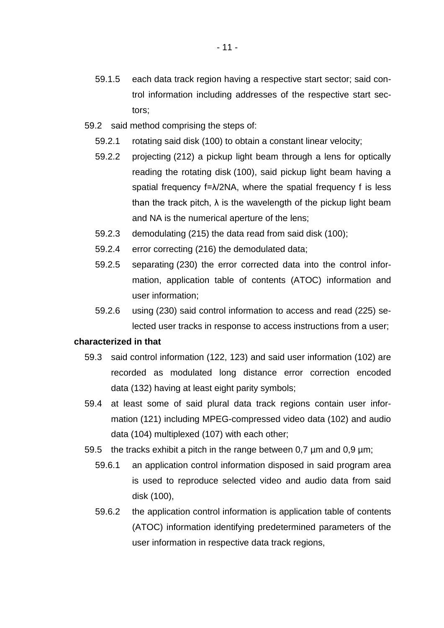- 59.2 said method comprising the steps of:
	- 59.2.1 rotating said disk (100) to obtain a constant linear velocity;
	- 59.2.2 projecting (212) a pickup light beam through a lens for optically reading the rotating disk (100), said pickup light beam having a spatial frequency f=λ/2NA, where the spatial frequency f is less than the track pitch,  $\lambda$  is the wavelength of the pickup light beam and NA is the numerical aperture of the lens;
	- 59.2.3 demodulating (215) the data read from said disk (100);
	- 59.2.4 error correcting (216) the demodulated data;
	- 59.2.5 separating (230) the error corrected data into the control information, application table of contents (ATOC) information and user information;
	- 59.2.6 using (230) said control information to access and read (225) selected user tracks in response to access instructions from a user;

#### **characterized in that**

- 59.3 said control information (122, 123) and said user information (102) are recorded as modulated long distance error correction encoded data (132) having at least eight parity symbols;
- 59.4 at least some of said plural data track regions contain user information (121) including MPEG-compressed video data (102) and audio data (104) multiplexed (107) with each other;
- 59.5 the tracks exhibit a pitch in the range between  $0.7 \mu m$  and  $0.9 \mu m$ ;
	- 59.6.1 an application control information disposed in said program area is used to reproduce selected video and audio data from said disk (100),
	- 59.6.2 the application control information is application table of contents (ATOC) information identifying predetermined parameters of the user information in respective data track regions,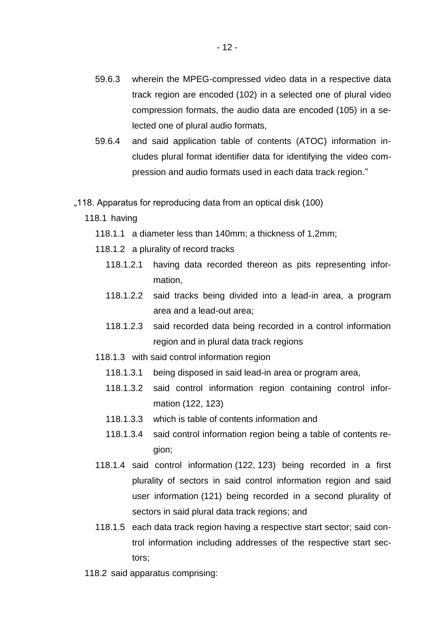- 59.6.3 wherein the MPEG-compressed video data in a respective data track region are encoded (102) in a selected one of plural video compression formats, the audio data are encoded (105) in a selected one of plural audio formats,
- 59.6.4 and said application table of contents (ATOC) information includes plural format identifier data for identifying the video compression and audio formats used in each data track region."
- "118. Apparatus for reproducing data from an optical disk (100)
	- 118.1 having
		- 118.1.1 a diameter less than 140mm; a thickness of 1,2mm;
		- 118.1.2 a plurality of record tracks
			- 118.1.2.1 having data recorded thereon as pits representing information,
			- 118.1.2.2 said tracks being divided into a lead-in area, a program area and a lead-out area;
			- 118.1.2.3 said recorded data being recorded in a control information region and in plural data track regions
		- 118.1.3 with said control information region
			- 118.1.3.1 being disposed in said lead-in area or program area,
			- 118.1.3.2 said control information region containing control information (122, 123)
			- 118.1.3.3 which is table of contents information and
			- 118.1.3.4 said control information region being a table of contents region;
		- 118.1.4 said control information (122, 123) being recorded in a first plurality of sectors in said control information region and said user information (121) being recorded in a second plurality of sectors in said plural data track regions; and
		- 118.1.5 each data track region having a respective start sector; said control information including addresses of the respective start sectors;
	- 118.2 said apparatus comprising: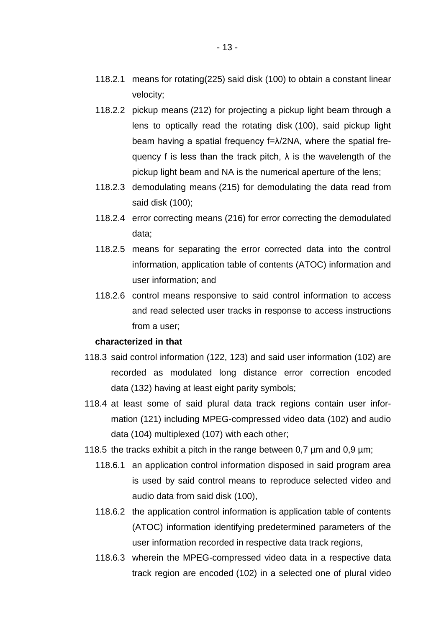- 118.2.2 pickup means (212) for projecting a pickup light beam through a lens to optically read the rotating disk (100), said pickup light beam having a spatial frequency f=λ/2NA, where the spatial frequency f is less than the track pitch,  $\lambda$  is the wavelength of the pickup light beam and NA is the numerical aperture of the lens;
- 118.2.3 demodulating means (215) for demodulating the data read from said disk (100);
- 118.2.4 error correcting means (216) for error correcting the demodulated data;
- 118.2.5 means for separating the error corrected data into the control information, application table of contents (ATOC) information and user information; and
- 118.2.6 control means responsive to said control information to access and read selected user tracks in response to access instructions from a user;

#### **characterized in that**

- 118.3 said control information (122, 123) and said user information (102) are recorded as modulated long distance error correction encoded data (132) having at least eight parity symbols;
- 118.4 at least some of said plural data track regions contain user information (121) including MPEG-compressed video data (102) and audio data (104) multiplexed (107) with each other;
- 118.5 the tracks exhibit a pitch in the range between 0,7 µm and 0,9 µm;
	- 118.6.1 an application control information disposed in said program area is used by said control means to reproduce selected video and audio data from said disk (100),
	- 118.6.2 the application control information is application table of contents (ATOC) information identifying predetermined parameters of the user information recorded in respective data track regions,
	- 118.6.3 wherein the MPEG-compressed video data in a respective data track region are encoded (102) in a selected one of plural video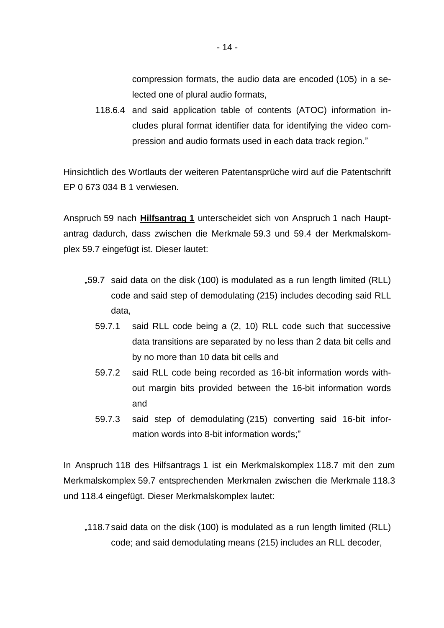compression formats, the audio data are encoded (105) in a selected one of plural audio formats,

118.6.4 and said application table of contents (ATOC) information includes plural format identifier data for identifying the video compression and audio formats used in each data track region."

Hinsichtlich des Wortlauts der weiteren Patentansprüche wird auf die Patentschrift EP 0 673 034 B 1 verwiesen.

Anspruch 59 nach **Hilfsantrag 1** unterscheidet sich von Anspruch 1 nach Hauptantrag dadurch, dass zwischen die Merkmale 59.3 und 59.4 der Merkmalskomplex 59.7 eingefügt ist. Dieser lautet:

- "59.7 said data on the disk (100) is modulated as a run length limited (RLL) code and said step of demodulating (215) includes decoding said RLL data,
	- 59.7.1 said RLL code being a (2, 10) RLL code such that successive data transitions are separated by no less than 2 data bit cells and by no more than 10 data bit cells and
	- 59.7.2 said RLL code being recorded as 16-bit information words without margin bits provided between the 16-bit information words and
	- 59.7.3 said step of demodulating (215) converting said 16-bit information words into 8-bit information words;"

In Anspruch 118 des Hilfsantrags 1 ist ein Merkmalskomplex 118.7 mit den zum Merkmalskomplex 59.7 entsprechenden Merkmalen zwischen die Merkmale 118.3 und 118.4 eingefügt. Dieser Merkmalskomplex lautet:

"118.7 said data on the disk (100) is modulated as a run length limited (RLL) code; and said demodulating means (215) includes an RLL decoder,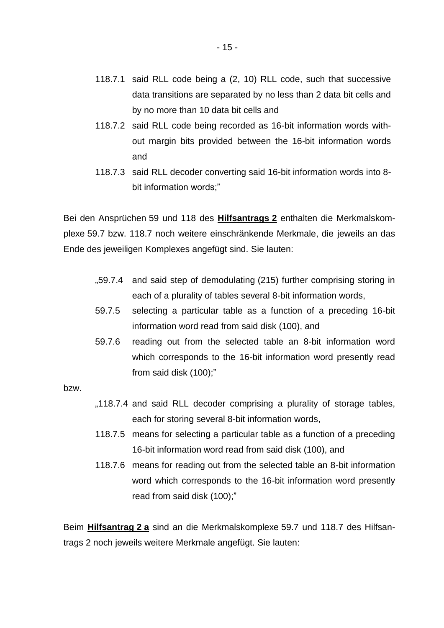- 118.7.1 said RLL code being a (2, 10) RLL code, such that successive data transitions are separated by no less than 2 data bit cells and by no more than 10 data bit cells and
- 118.7.2 said RLL code being recorded as 16-bit information words without margin bits provided between the 16-bit information words and
- 118.7.3 said RLL decoder converting said 16-bit information words into 8 bit information words;"

Bei den Ansprüchen 59 und 118 des **Hilfsantrags 2** enthalten die Merkmalskomplexe 59.7 bzw. 118.7 noch weitere einschränkende Merkmale, die jeweils an das Ende des jeweiligen Komplexes angefügt sind. Sie lauten:

- "59.7.4 and said step of demodulating (215) further comprising storing in each of a plurality of tables several 8-bit information words,
- 59.7.5 selecting a particular table as a function of a preceding 16-bit information word read from said disk (100), and
- 59.7.6 reading out from the selected table an 8-bit information word which corresponds to the 16-bit information word presently read from said disk (100);"

bzw.

- "118.7.4 and said RLL decoder comprising a plurality of storage tables, each for storing several 8-bit information words,
- 118.7.5 means for selecting a particular table as a function of a preceding 16-bit information word read from said disk (100), and
- 118.7.6 means for reading out from the selected table an 8-bit information word which corresponds to the 16-bit information word presently read from said disk (100);"

Beim **Hilfsantrag 2 a** sind an die Merkmalskomplexe 59.7 und 118.7 des Hilfsantrags 2 noch jeweils weitere Merkmale angefügt. Sie lauten: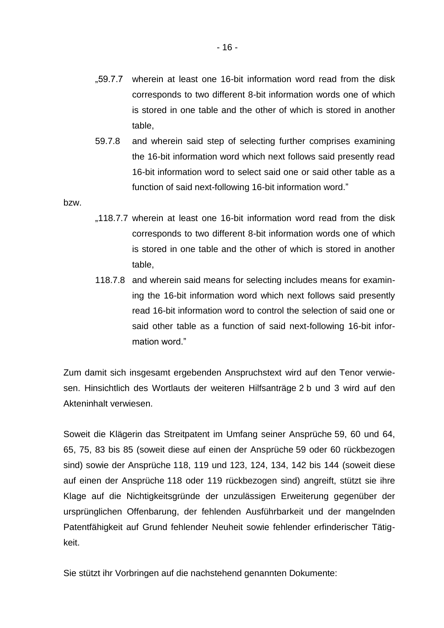- "59.7.7 wherein at least one 16-bit information word read from the disk corresponds to two different 8-bit information words one of which is stored in one table and the other of which is stored in another table,
- 59.7.8 and wherein said step of selecting further comprises examining the 16-bit information word which next follows said presently read 16-bit information word to select said one or said other table as a function of said next-following 16-bit information word."

bzw.

- "118.7.7 wherein at least one 16-bit information word read from the disk corresponds to two different 8-bit information words one of which is stored in one table and the other of which is stored in another table,
- 118.7.8 and wherein said means for selecting includes means for examining the 16-bit information word which next follows said presently read 16-bit information word to control the selection of said one or said other table as a function of said next-following 16-bit information word."

Zum damit sich insgesamt ergebenden Anspruchstext wird auf den Tenor verwiesen. Hinsichtlich des Wortlauts der weiteren Hilfsanträge 2 b und 3 wird auf den Akteninhalt verwiesen.

Soweit die Klägerin das Streitpatent im Umfang seiner Ansprüche 59, 60 und 64, 65, 75, 83 bis 85 (soweit diese auf einen der Ansprüche 59 oder 60 rückbezogen sind) sowie der Ansprüche 118, 119 und 123, 124, 134, 142 bis 144 (soweit diese auf einen der Ansprüche 118 oder 119 rückbezogen sind) angreift, stützt sie ihre Klage auf die Nichtigkeitsgründe der unzulässigen Erweiterung gegenüber der ursprünglichen Offenbarung, der fehlenden Ausführbarkeit und der mangelnden Patentfähigkeit auf Grund fehlender Neuheit sowie fehlender erfinderischer Tätigkeit.

Sie stützt ihr Vorbringen auf die nachstehend genannten Dokumente: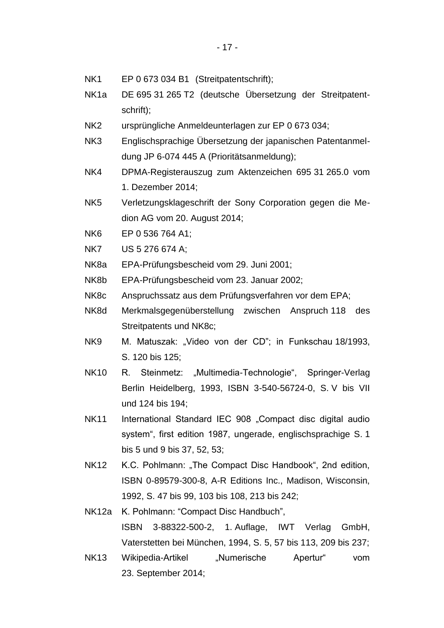- NK1 EP 0 673 034 B1 (Streitpatentschrift);
- NK1a DE 695 31 265 T2 (deutsche Übersetzung der Streitpatentschrift);
- NK2 ursprüngliche Anmeldeunterlagen zur EP 0 673 034;
- NK3 Englischsprachige Übersetzung der japanischen Patentanmeldung JP 6-074 445 A (Prioritätsanmeldung);
- NK4 DPMA-Registerauszug zum Aktenzeichen 695 31 265.0 vom 1. Dezember 2014;
- NK5 Verletzungsklageschrift der Sony Corporation gegen die Medion AG vom 20. August 2014;
- NK6 EP 0 536 764 A1;
- NK7 US 5 276 674 A;
- NK8a EPA-Prüfungsbescheid vom 29. Juni 2001;
- NK8b EPA-Prüfungsbescheid vom 23. Januar 2002;
- NK8c Anspruchssatz aus dem Prüfungsverfahren vor dem EPA;
- NK8d Merkmalsgegenüberstellung zwischen Anspruch 118 des Streitpatents und NK8c;
- NK9 M. Matuszak: "Video von der CD"; in Funkschau 18/1993, S. 120 bis 125;
- NK10 R. Steinmetz: "Multimedia-Technologie", Springer-Verlag Berlin Heidelberg, 1993, ISBN 3-540-56724-0, S. V bis VII und 124 bis 194;
- NK11 International Standard IEC 908 "Compact disc digital audio system", first edition 1987, ungerade, englischsprachige S. 1 bis 5 und 9 bis 37, 52, 53;
- NK12 K.C. Pohlmann: "The Compact Disc Handbook", 2nd edition, ISBN 0-89579-300-8, A-R Editions Inc., Madison, Wisconsin, 1992, S. 47 bis 99, 103 bis 108, 213 bis 242;
- NK12a K. Pohlmann: "Compact Disc Handbuch", ISBN 3-88322-500-2, 1. Auflage, IWT Verlag GmbH, Vaterstetten bei München, 1994, S. 5, 57 bis 113, 209 bis 237;
- NK13 Wikipedia-Artikel "Numerische Apertur" vom 23. September 2014;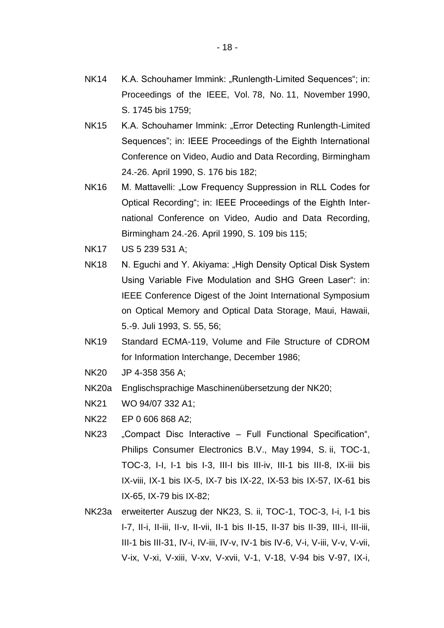- NK14 K.A. Schouhamer Immink: "Runlength-Limited Sequences"; in: Proceedings of the IEEE, Vol. 78, No. 11, November 1990, S. 1745 bis 1759;
- NK15 K.A. Schouhamer Immink: "Error Detecting Runlength-Limited Sequences"; in: IEEE Proceedings of the Eighth International Conference on Video, Audio and Data Recording, Birmingham 24.-26. April 1990, S. 176 bis 182;
- NK16 M. Mattavelli: "Low Frequency Suppression in RLL Codes for Optical Recording"; in: IEEE Proceedings of the Eighth International Conference on Video, Audio and Data Recording, Birmingham 24.-26. April 1990, S. 109 bis 115;
- NK17 US 5 239 531 A;
- NK18 N. Eguchi and Y. Akiyama: "High Density Optical Disk System Using Variable Five Modulation and SHG Green Laser": in: IEEE Conference Digest of the Joint International Symposium on Optical Memory and Optical Data Storage, Maui, Hawaii, 5.-9. Juli 1993, S. 55, 56;
- NK19 Standard ECMA-119, Volume and File Structure of CDROM for Information Interchange, December 1986;
- NK20 JP 4-358 356 A;
- NK20a Englischsprachige Maschinenübersetzung der NK20;
- NK21 WO 94/07 332 A1;
- NK22 EP 0 606 868 A2;
- NK23 "Compact Disc Interactive Full Functional Specification", Philips Consumer Electronics B.V., May 1994, S. ii, TOC-1, TOC-3, I-I, I-1 bis I-3, III-I bis III-iv, III-1 bis III-8, IX-iii bis IX-viii, IX-1 bis IX-5, IX-7 bis IX-22, IX-53 bis IX-57, IX-61 bis IX-65, IX-79 bis IX-82;
- NK23a erweiterter Auszug der NK23, S. ii, TOC-1, TOC-3, I-i, I-1 bis I-7, II-i, II-iii, II-v, II-vii, II-1 bis II-15, II-37 bis II-39, III-i, III-iii, III-1 bis III-31, IV-i, IV-iii, IV-v, IV-1 bis IV-6, V-i, V-iii, V-v, V-vii, V-ix, V-xi, V-xiii, V-xv, V-xvii, V-1, V-18, V-94 bis V-97, IX-i,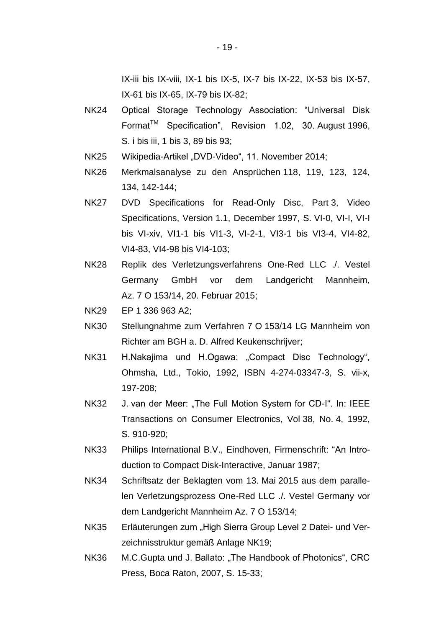IX-iii bis IX-viii, IX-1 bis IX-5, IX-7 bis IX-22, IX-53 bis IX-57, IX-61 bis IX-65, IX-79 bis IX-82;

- NK24 Optical Storage Technology Association: "Universal Disk Format<sup>™</sup> Specification", Revision 1.02, 30. August 1996, S. i bis iii, 1 bis 3, 89 bis 93;
- NK25 Wikipedia-Artikel "DVD-Video", 11. November 2014;
- NK26 Merkmalsanalyse zu den Ansprüchen 118, 119, 123, 124, 134, 142-144;
- NK27 DVD Specifications for Read-Only Disc, Part 3, Video Specifications, Version 1.1, December 1997, S. VI-0, VI-I, VI-I bis VI-xiv, VI1-1 bis VI1-3, VI-2-1, VI3-1 bis VI3-4, VI4-82, VI4-83, VI4-98 bis VI4-103;
- NK28 Replik des Verletzungsverfahrens One-Red LLC ./. Vestel Germany GmbH vor dem Landgericht Mannheim, Az. 7 O 153/14, 20. Februar 2015;
- NK29 EP 1 336 963 A2;
- NK30 Stellungnahme zum Verfahren 7 O 153/14 LG Mannheim von Richter am BGH a. D. Alfred Keukenschrijver;
- NK31 H.Nakajima und H.Ogawa: "Compact Disc Technology", Ohmsha, Ltd., Tokio, 1992, ISBN 4-274-03347-3, S. vii-x, 197-208;
- NK32 J. van der Meer: "The Full Motion System for CD-I". In: IEEE Transactions on Consumer Electronics, Vol 38, No. 4, 1992, S. 910-920;
- NK33 Philips International B.V., Eindhoven, Firmenschrift: "An Introduction to Compact Disk-Interactive, Januar 1987;
- NK34 Schriftsatz der Beklagten vom 13. Mai 2015 aus dem parallelen Verletzungsprozess One-Red LLC ./. Vestel Germany vor dem Landgericht Mannheim Az. 7 O 153/14;
- NK35 Erläuterungen zum "High Sierra Group Level 2 Datei- und Verzeichnisstruktur gemäß Anlage NK19;
- NK36 M.C.Gupta und J. Ballato: "The Handbook of Photonics", CRC Press, Boca Raton, 2007, S. 15-33;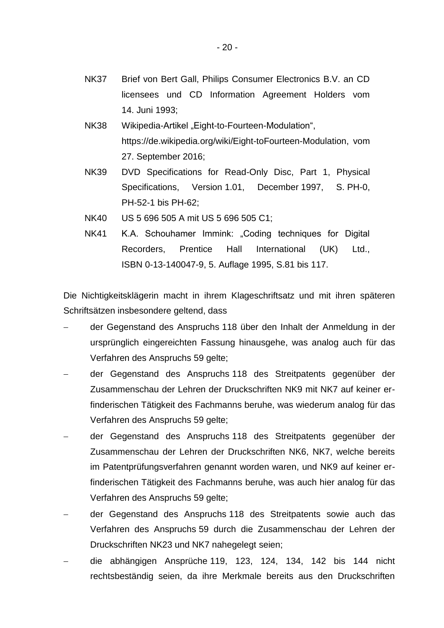- NK37 Brief von Bert Gall, Philips Consumer Electronics B.V. an CD licensees und CD Information Agreement Holders vom 14. Juni 1993;
- NK38 Wikipedia-Artikel "Eight-to-Fourteen-Modulation", https://de.wikipedia.org/wiki/Eight-toFourteen-Modulation, vom 27. September 2016;
- NK39 DVD Specifications for Read-Only Disc, Part 1, Physical Specifications, Version 1.01, December 1997, S. PH-0, PH-52-1 bis PH-62;
- NK40 US 5 696 505 A mit US 5 696 505 C1;
- NK41 K.A. Schouhamer Immink: "Coding techniques for Digital Recorders, Prentice Hall International (UK) Ltd., ISBN 0-13-140047-9, 5. Auflage 1995, S.81 bis 117.

Die Nichtigkeitsklägerin macht in ihrem Klageschriftsatz und mit ihren späteren Schriftsätzen insbesondere geltend, dass

- der Gegenstand des Anspruchs 118 über den Inhalt der Anmeldung in der ursprünglich eingereichten Fassung hinausgehe, was analog auch für das Verfahren des Anspruchs 59 gelte;
- der Gegenstand des Anspruchs 118 des Streitpatents gegenüber der Zusammenschau der Lehren der Druckschriften NK9 mit NK7 auf keiner erfinderischen Tätigkeit des Fachmanns beruhe, was wiederum analog für das Verfahren des Anspruchs 59 gelte;
- der Gegenstand des Anspruchs 118 des Streitpatents gegenüber der Zusammenschau der Lehren der Druckschriften NK6, NK7, welche bereits im Patentprüfungsverfahren genannt worden waren, und NK9 auf keiner erfinderischen Tätigkeit des Fachmanns beruhe, was auch hier analog für das Verfahren des Anspruchs 59 gelte;
- der Gegenstand des Anspruchs 118 des Streitpatents sowie auch das Verfahren des Anspruchs 59 durch die Zusammenschau der Lehren der Druckschriften NK23 und NK7 nahegelegt seien;
- die abhängigen Ansprüche 119, 123, 124, 134, 142 bis 144 nicht rechtsbeständig seien, da ihre Merkmale bereits aus den Druckschriften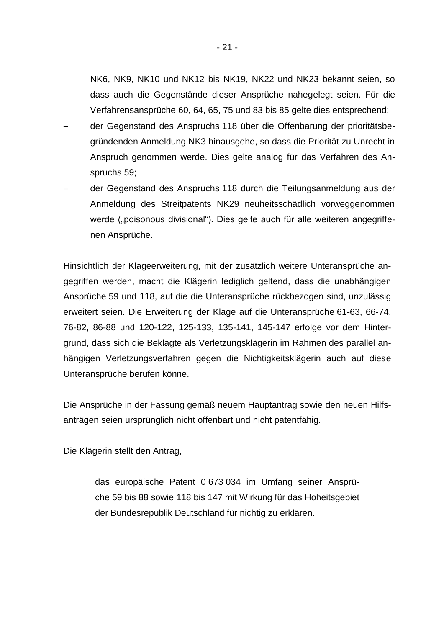NK6, NK9, NK10 und NK12 bis NK19, NK22 und NK23 bekannt seien, so dass auch die Gegenstände dieser Ansprüche nahegelegt seien. Für die Verfahrensansprüche 60, 64, 65, 75 und 83 bis 85 gelte dies entsprechend;

- der Gegenstand des Anspruchs 118 über die Offenbarung der prioritätsbegründenden Anmeldung NK3 hinausgehe, so dass die Priorität zu Unrecht in Anspruch genommen werde. Dies gelte analog für das Verfahren des Anspruchs 59;
- der Gegenstand des Anspruchs 118 durch die Teilungsanmeldung aus der Anmeldung des Streitpatents NK29 neuheitsschädlich vorweggenommen werde ("poisonous divisional"). Dies gelte auch für alle weiteren angegriffenen Ansprüche.

Hinsichtlich der Klageerweiterung, mit der zusätzlich weitere Unteransprüche angegriffen werden, macht die Klägerin lediglich geltend, dass die unabhängigen Ansprüche 59 und 118, auf die die Unteransprüche rückbezogen sind, unzulässig erweitert seien. Die Erweiterung der Klage auf die Unteransprüche 61-63, 66-74, 76-82, 86-88 und 120-122, 125-133, 135-141, 145-147 erfolge vor dem Hintergrund, dass sich die Beklagte als Verletzungsklägerin im Rahmen des parallel anhängigen Verletzungsverfahren gegen die Nichtigkeitsklägerin auch auf diese Unteransprüche berufen könne.

Die Ansprüche in der Fassung gemäß neuem Hauptantrag sowie den neuen Hilfsanträgen seien ursprünglich nicht offenbart und nicht patentfähig.

Die Klägerin stellt den Antrag,

das europäische Patent 0 673 034 im Umfang seiner Ansprüche 59 bis 88 sowie 118 bis 147 mit Wirkung für das Hoheitsgebiet der Bundesrepublik Deutschland für nichtig zu erklären.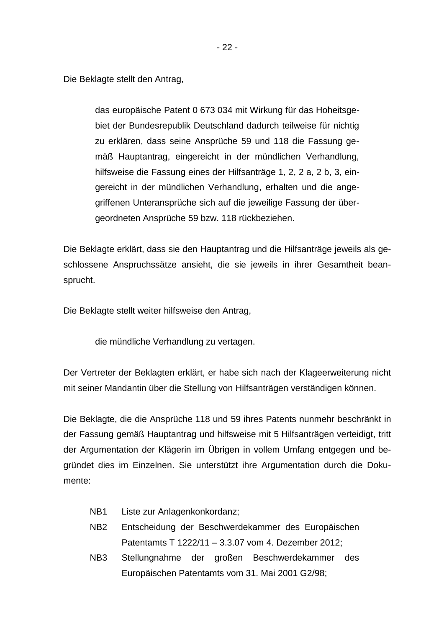Die Beklagte stellt den Antrag,

das europäische Patent 0 673 034 mit Wirkung für das Hoheitsgebiet der Bundesrepublik Deutschland dadurch teilweise für nichtig zu erklären, dass seine Ansprüche 59 und 118 die Fassung gemäß Hauptantrag, eingereicht in der mündlichen Verhandlung, hilfsweise die Fassung eines der Hilfsanträge 1, 2, 2 a, 2 b, 3, eingereicht in der mündlichen Verhandlung, erhalten und die angegriffenen Unteransprüche sich auf die jeweilige Fassung der übergeordneten Ansprüche 59 bzw. 118 rückbeziehen.

Die Beklagte erklärt, dass sie den Hauptantrag und die Hilfsanträge jeweils als geschlossene Anspruchssätze ansieht, die sie jeweils in ihrer Gesamtheit beansprucht.

Die Beklagte stellt weiter hilfsweise den Antrag,

die mündliche Verhandlung zu vertagen.

Der Vertreter der Beklagten erklärt, er habe sich nach der Klageerweiterung nicht mit seiner Mandantin über die Stellung von Hilfsanträgen verständigen können.

Die Beklagte, die die Ansprüche 118 und 59 ihres Patents nunmehr beschränkt in der Fassung gemäß Hauptantrag und hilfsweise mit 5 Hilfsanträgen verteidigt, tritt der Argumentation der Klägerin im Übrigen in vollem Umfang entgegen und begründet dies im Einzelnen. Sie unterstützt ihre Argumentation durch die Dokumente:

- NB1 Liste zur Anlagenkonkordanz;
- NB2 Entscheidung der Beschwerdekammer des Europäischen Patentamts T 1222/11 – 3.3.07 vom 4. Dezember 2012;
- NB3 Stellungnahme der großen Beschwerdekammer des Europäischen Patentamts vom 31. Mai 2001 G2/98;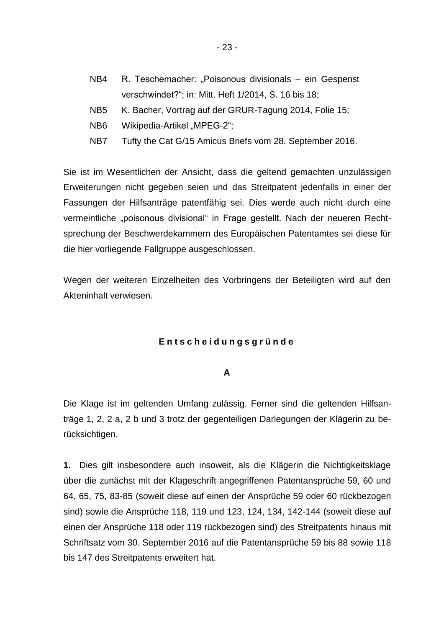- NB4 R. Teschemacher: "Poisonous divisionals ein Gespenst verschwindet?"; in: Mitt. Heft 1/2014, S. 16 bis 18;
- NB5 K. Bacher, Vortrag auf der GRUR-Tagung 2014, Folie 15;
- NB6 Wikipedia-Artikel "MPEG-2";
- NB7 Tufty the Cat G/15 Amicus Briefs vom 28. September 2016.

Sie ist im Wesentlichen der Ansicht, dass die geltend gemachten unzulässigen Erweiterungen nicht gegeben seien und das Streitpatent jedenfalls in einer der Fassungen der Hilfsanträge patentfähig sei. Dies werde auch nicht durch eine vermeintliche "poisonous divisional" in Frage gestellt. Nach der neueren Rechtsprechung der Beschwerdekammern des Europäischen Patentamtes sei diese für die hier vorliegende Fallgruppe ausgeschlossen.

Wegen der weiteren Einzelheiten des Vorbringens der Beteiligten wird auf den Akteninhalt verwiesen.

#### **E n t s c h e i d u n g s g r ü n d e**

#### **A**

Die Klage ist im geltenden Umfang zulässig. Ferner sind die geltenden Hilfsanträge 1, 2, 2 a, 2 b und 3 trotz der gegenteiligen Darlegungen der Klägerin zu berücksichtigen.

**1.** Dies gilt insbesondere auch insoweit, als die Klägerin die Nichtigkeitsklage über die zunächst mit der Klageschrift angegriffenen Patentansprüche 59, 60 und 64, 65, 75, 83-85 (soweit diese auf einen der Ansprüche 59 oder 60 rückbezogen sind) sowie die Ansprüche 118, 119 und 123, 124, 134, 142-144 (soweit diese auf einen der Ansprüche 118 oder 119 rückbezogen sind) des Streitpatents hinaus mit Schriftsatz vom 30. September 2016 auf die Patentansprüche 59 bis 88 sowie 118 bis 147 des Streitpatents erweitert hat.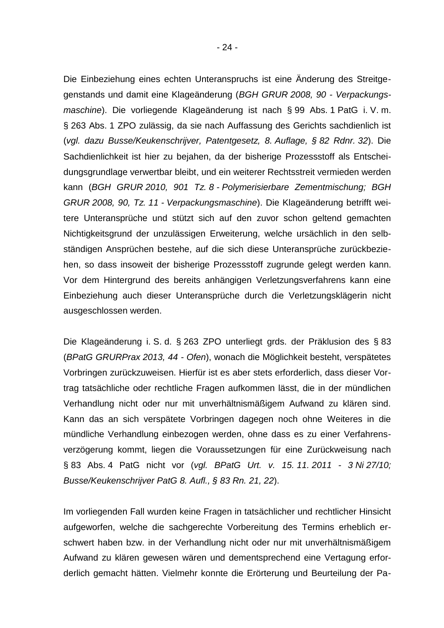Die Einbeziehung eines echten Unteranspruchs ist eine Änderung des Streitgegenstands und damit eine Klageänderung (*BGH GRUR 2008, 90 - Verpackungsmaschine*). Die vorliegende Klageänderung ist nach § 99 Abs. 1 PatG i. V. m. § 263 Abs. 1 ZPO zulässig, da sie nach Auffassung des Gerichts sachdienlich ist (*vgl. dazu Busse/Keukenschrijver, Patentgesetz, 8. Auflage, § 82 Rdnr. 32*). Die Sachdienlichkeit ist hier zu bejahen, da der bisherige Prozessstoff als Entscheidungsgrundlage verwertbar bleibt, und ein weiterer Rechtsstreit vermieden werden kann (*BGH GRUR 2010, 901 Tz. 8 - Polymerisierbare Zementmischung; BGH GRUR 2008, 90, Tz. 11 - Verpackungsmaschine*). Die Klageänderung betrifft weitere Unteransprüche und stützt sich auf den zuvor schon geltend gemachten Nichtigkeitsgrund der unzulässigen Erweiterung, welche ursächlich in den selbständigen Ansprüchen bestehe, auf die sich diese Unteransprüche zurückbeziehen, so dass insoweit der bisherige Prozessstoff zugrunde gelegt werden kann. Vor dem Hintergrund des bereits anhängigen Verletzungsverfahrens kann eine Einbeziehung auch dieser Unteransprüche durch die Verletzungsklägerin nicht ausgeschlossen werden.

Die Klageänderung i. S. d. § 263 ZPO unterliegt grds. der Präklusion des § 83 (*BPatG GRURPrax 2013, 44 - Ofen*), wonach die Möglichkeit besteht, verspätetes Vorbringen zurückzuweisen. Hierfür ist es aber stets erforderlich, dass dieser Vortrag tatsächliche oder rechtliche Fragen aufkommen lässt, die in der mündlichen Verhandlung nicht oder nur mit unverhältnismäßigem Aufwand zu klären sind. Kann das an sich verspätete Vorbringen dagegen noch ohne Weiteres in die mündliche Verhandlung einbezogen werden, ohne dass es zu einer Verfahrensverzögerung kommt, liegen die Voraussetzungen für eine Zurückweisung nach § 83 Abs. 4 PatG nicht vor (*vgl. BPatG Urt. v. 15. 11. 2011 - 3 Ni 27/10; Busse/Keukenschrijver PatG 8. Aufl., § 83 Rn. 21, 22*).

Im vorliegenden Fall wurden keine Fragen in tatsächlicher und rechtlicher Hinsicht aufgeworfen, welche die sachgerechte Vorbereitung des Termins erheblich erschwert haben bzw. in der Verhandlung nicht oder nur mit unverhältnismäßigem Aufwand zu klären gewesen wären und dementsprechend eine Vertagung erforderlich gemacht hätten. Vielmehr konnte die Erörterung und Beurteilung der Pa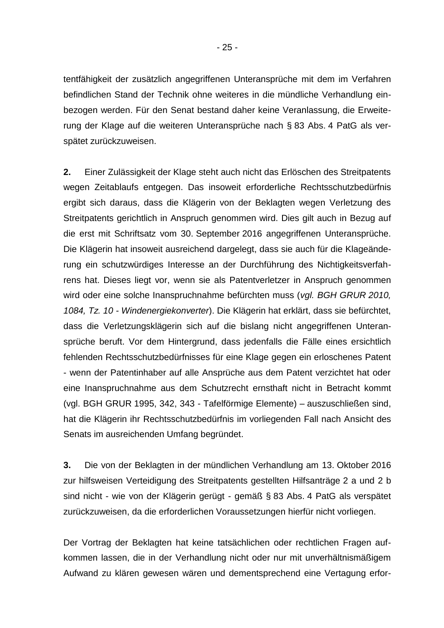tentfähigkeit der zusätzlich angegriffenen Unteransprüche mit dem im Verfahren befindlichen Stand der Technik ohne weiteres in die mündliche Verhandlung einbezogen werden. Für den Senat bestand daher keine Veranlassung, die Erweiterung der Klage auf die weiteren Unteransprüche nach § 83 Abs. 4 PatG als verspätet zurückzuweisen.

**2.** Einer Zulässigkeit der Klage steht auch nicht das Erlöschen des Streitpatents wegen Zeitablaufs entgegen. Das insoweit erforderliche Rechtsschutzbedürfnis ergibt sich daraus, dass die Klägerin von der Beklagten wegen Verletzung des Streitpatents gerichtlich in Anspruch genommen wird. Dies gilt auch in Bezug auf die erst mit Schriftsatz vom 30. September 2016 angegriffenen Unteransprüche. Die Klägerin hat insoweit ausreichend dargelegt, dass sie auch für die Klageänderung ein schutzwürdiges Interesse an der Durchführung des Nichtigkeitsverfahrens hat. Dieses liegt vor, wenn sie als Patentverletzer in Anspruch genommen wird oder eine solche Inanspruchnahme befürchten muss (*vgl. BGH GRUR 2010, 1084, Tz. 10 - Windenergiekonverter*). Die Klägerin hat erklärt, dass sie befürchtet, dass die Verletzungsklägerin sich auf die bislang nicht angegriffenen Unteransprüche beruft. Vor dem Hintergrund, dass jedenfalls die Fälle eines ersichtlich fehlenden Rechtsschutzbedürfnisses für eine Klage gegen ein erloschenes Patent - wenn der Patentinhaber auf alle Ansprüche aus dem Patent verzichtet hat oder eine Inanspruchnahme aus dem Schutzrecht ernsthaft nicht in Betracht kommt (vgl. BGH GRUR 1995, 342, 343 - Tafelförmige Elemente) – auszuschließen sind, hat die Klägerin ihr Rechtsschutzbedürfnis im vorliegenden Fall nach Ansicht des Senats im ausreichenden Umfang begründet.

**3.** Die von der Beklagten in der mündlichen Verhandlung am 13. Oktober 2016 zur hilfsweisen Verteidigung des Streitpatents gestellten Hilfsanträge 2 a und 2 b sind nicht - wie von der Klägerin gerügt - gemäß § 83 Abs. 4 PatG als verspätet zurückzuweisen, da die erforderlichen Voraussetzungen hierfür nicht vorliegen.

Der Vortrag der Beklagten hat keine tatsächlichen oder rechtlichen Fragen aufkommen lassen, die in der Verhandlung nicht oder nur mit unverhältnismäßigem Aufwand zu klären gewesen wären und dementsprechend eine Vertagung erfor-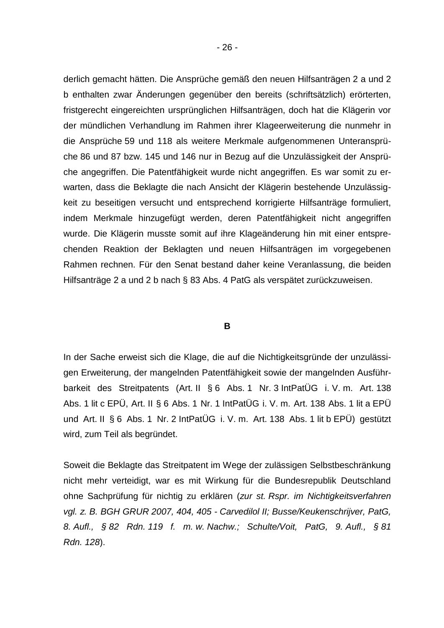derlich gemacht hätten. Die Ansprüche gemäß den neuen Hilfsanträgen 2 a und 2 b enthalten zwar Änderungen gegenüber den bereits (schriftsätzlich) erörterten, fristgerecht eingereichten ursprünglichen Hilfsanträgen, doch hat die Klägerin vor der mündlichen Verhandlung im Rahmen ihrer Klageerweiterung die nunmehr in die Ansprüche 59 und 118 als weitere Merkmale aufgenommenen Unteransprüche 86 und 87 bzw. 145 und 146 nur in Bezug auf die Unzulässigkeit der Ansprüche angegriffen. Die Patentfähigkeit wurde nicht angegriffen. Es war somit zu erwarten, dass die Beklagte die nach Ansicht der Klägerin bestehende Unzulässigkeit zu beseitigen versucht und entsprechend korrigierte Hilfsanträge formuliert, indem Merkmale hinzugefügt werden, deren Patentfähigkeit nicht angegriffen wurde. Die Klägerin musste somit auf ihre Klageänderung hin mit einer entsprechenden Reaktion der Beklagten und neuen Hilfsanträgen im vorgegebenen Rahmen rechnen. Für den Senat bestand daher keine Veranlassung, die beiden Hilfsanträge 2 a und 2 b nach § 83 Abs. 4 PatG als verspätet zurückzuweisen.

#### **B**

In der Sache erweist sich die Klage, die auf die Nichtigkeitsgründe der unzulässigen Erweiterung, der mangelnden Patentfähigkeit sowie der mangelnden Ausführbarkeit des Streitpatents (Art. II § 6 Abs. 1 Nr. 3 IntPatÜG i. V. m. Art. 138 Abs. 1 lit c EPÜ, Art. II § 6 Abs. 1 Nr. 1 IntPatÜG i. V. m. Art. 138 Abs. 1 lit a EPÜ und Art. II § 6 Abs. 1 Nr. 2 IntPatÜG i. V. m. Art. 138 Abs. 1 lit b EPÜ) gestützt wird, zum Teil als begründet.

Soweit die Beklagte das Streitpatent im Wege der zulässigen Selbstbeschränkung nicht mehr verteidigt, war es mit Wirkung für die Bundesrepublik Deutschland ohne Sachprüfung für nichtig zu erklären (*zur st. Rspr. im Nichtigkeitsverfahren vgl. z. B. BGH GRUR 2007, 404, 405 - Carvedilol II; Busse/Keukenschrijver, PatG, 8. Aufl., § 82 Rdn. 119 f. m. w. Nachw.; Schulte/Voit, PatG, 9. Aufl., § 81 Rdn. 128*).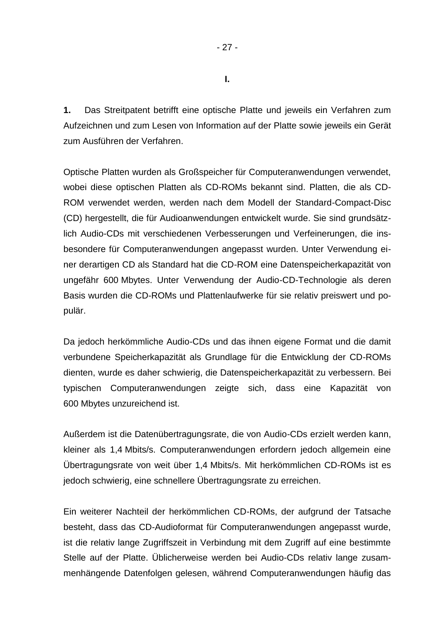**I.**

**1.** Das Streitpatent betrifft eine optische Platte und jeweils ein Verfahren zum Aufzeichnen und zum Lesen von Information auf der Platte sowie jeweils ein Gerät zum Ausführen der Verfahren.

Optische Platten wurden als Großspeicher für Computeranwendungen verwendet, wobei diese optischen Platten als CD-ROMs bekannt sind. Platten, die als CD-ROM verwendet werden, werden nach dem Modell der Standard-Compact-Disc (CD) hergestellt, die für Audioanwendungen entwickelt wurde. Sie sind grundsätzlich Audio-CDs mit verschiedenen Verbesserungen und Verfeinerungen, die insbesondere für Computeranwendungen angepasst wurden. Unter Verwendung einer derartigen CD als Standard hat die CD-ROM eine Datenspeicherkapazität von ungefähr 600 Mbytes. Unter Verwendung der Audio-CD-Technologie als deren Basis wurden die CD-ROMs und Plattenlaufwerke für sie relativ preiswert und populär.

Da jedoch herkömmliche Audio-CDs und das ihnen eigene Format und die damit verbundene Speicherkapazität als Grundlage für die Entwicklung der CD-ROMs dienten, wurde es daher schwierig, die Datenspeicherkapazität zu verbessern. Bei typischen Computeranwendungen zeigte sich, dass eine Kapazität von 600 Mbytes unzureichend ist.

Außerdem ist die Datenübertragungsrate, die von Audio-CDs erzielt werden kann, kleiner als 1,4 Mbits/s. Computeranwendungen erfordern jedoch allgemein eine Übertragungsrate von weit über 1,4 Mbits/s. Mit herkömmlichen CD-ROMs ist es jedoch schwierig, eine schnellere Übertragungsrate zu erreichen.

Ein weiterer Nachteil der herkömmlichen CD-ROMs, der aufgrund der Tatsache besteht, dass das CD-Audioformat für Computeranwendungen angepasst wurde, ist die relativ lange Zugriffszeit in Verbindung mit dem Zugriff auf eine bestimmte Stelle auf der Platte. Üblicherweise werden bei Audio-CDs relativ lange zusammenhängende Datenfolgen gelesen, während Computeranwendungen häufig das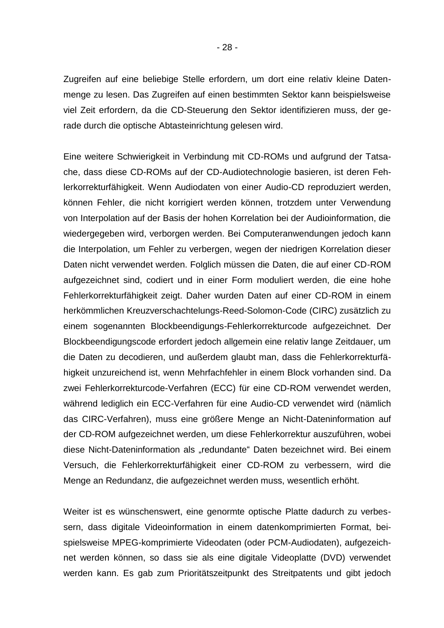Zugreifen auf eine beliebige Stelle erfordern, um dort eine relativ kleine Datenmenge zu lesen. Das Zugreifen auf einen bestimmten Sektor kann beispielsweise viel Zeit erfordern, da die CD-Steuerung den Sektor identifizieren muss, der gerade durch die optische Abtasteinrichtung gelesen wird.

Eine weitere Schwierigkeit in Verbindung mit CD-ROMs und aufgrund der Tatsache, dass diese CD-ROMs auf der CD-Audiotechnologie basieren, ist deren Fehlerkorrekturfähigkeit. Wenn Audiodaten von einer Audio-CD reproduziert werden, können Fehler, die nicht korrigiert werden können, trotzdem unter Verwendung von Interpolation auf der Basis der hohen Korrelation bei der Audioinformation, die wiedergegeben wird, verborgen werden. Bei Computeranwendungen jedoch kann die Interpolation, um Fehler zu verbergen, wegen der niedrigen Korrelation dieser Daten nicht verwendet werden. Folglich müssen die Daten, die auf einer CD-ROM aufgezeichnet sind, codiert und in einer Form moduliert werden, die eine hohe Fehlerkorrekturfähigkeit zeigt. Daher wurden Daten auf einer CD-ROM in einem herkömmlichen Kreuzverschachtelungs-Reed-Solomon-Code (CIRC) zusätzlich zu einem sogenannten Blockbeendigungs-Fehlerkorrekturcode aufgezeichnet. Der Blockbeendigungscode erfordert jedoch allgemein eine relativ lange Zeitdauer, um die Daten zu decodieren, und außerdem glaubt man, dass die Fehlerkorrekturfähigkeit unzureichend ist, wenn Mehrfachfehler in einem Block vorhanden sind. Da zwei Fehlerkorrekturcode-Verfahren (ECC) für eine CD-ROM verwendet werden, während lediglich ein ECC-Verfahren für eine Audio-CD verwendet wird (nämlich das CIRC-Verfahren), muss eine größere Menge an Nicht-Dateninformation auf der CD-ROM aufgezeichnet werden, um diese Fehlerkorrektur auszuführen, wobei diese Nicht-Dateninformation als "redundante" Daten bezeichnet wird. Bei einem Versuch, die Fehlerkorrekturfähigkeit einer CD-ROM zu verbessern, wird die Menge an Redundanz, die aufgezeichnet werden muss, wesentlich erhöht.

Weiter ist es wünschenswert, eine genormte optische Platte dadurch zu verbessern, dass digitale Videoinformation in einem datenkomprimierten Format, beispielsweise MPEG-komprimierte Videodaten (oder PCM-Audiodaten), aufgezeichnet werden können, so dass sie als eine digitale Videoplatte (DVD) verwendet werden kann. Es gab zum Prioritätszeitpunkt des Streitpatents und gibt jedoch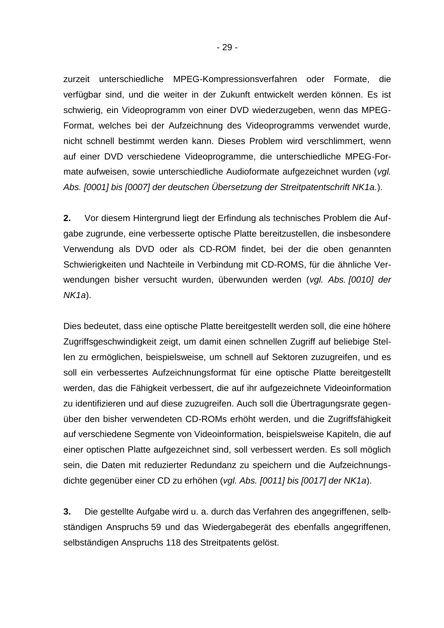zurzeit unterschiedliche MPEG-Kompressionsverfahren oder Formate, die verfügbar sind, und die weiter in der Zukunft entwickelt werden können. Es ist schwierig, ein Videoprogramm von einer DVD wiederzugeben, wenn das MPEG-Format, welches bei der Aufzeichnung des Videoprogramms verwendet wurde, nicht schnell bestimmt werden kann. Dieses Problem wird verschlimmert, wenn auf einer DVD verschiedene Videoprogramme, die unterschiedliche MPEG-Formate aufweisen, sowie unterschiedliche Audioformate aufgezeichnet wurden (*vgl. Abs. [0001] bis [0007] der deutschen Übersetzung der Streitpatentschrift NK1a.*).

**2.** Vor diesem Hintergrund liegt der Erfindung als technisches Problem die Aufgabe zugrunde, eine verbesserte optische Platte bereitzustellen, die insbesondere Verwendung als DVD oder als CD-ROM findet, bei der die oben genannten Schwierigkeiten und Nachteile in Verbindung mit CD-ROMS, für die ähnliche Verwendungen bisher versucht wurden, überwunden werden (*vgl. Abs. [0010] der NK1a*).

Dies bedeutet, dass eine optische Platte bereitgestellt werden soll, die eine höhere Zugriffsgeschwindigkeit zeigt, um damit einen schnellen Zugriff auf beliebige Stellen zu ermöglichen, beispielsweise, um schnell auf Sektoren zuzugreifen, und es soll ein verbessertes Aufzeichnungsformat für eine optische Platte bereitgestellt werden, das die Fähigkeit verbessert, die auf ihr aufgezeichnete Videoinformation zu identifizieren und auf diese zuzugreifen. Auch soll die Übertragungsrate gegenüber den bisher verwendeten CD-ROMs erhöht werden, und die Zugriffsfähigkeit auf verschiedene Segmente von Videoinformation, beispielsweise Kapiteln, die auf einer optischen Platte aufgezeichnet sind, soll verbessert werden. Es soll möglich sein, die Daten mit reduzierter Redundanz zu speichern und die Aufzeichnungsdichte gegenüber einer CD zu erhöhen (*vgl. Abs. [0011] bis [0017] der NK1a*).

**3.** Die gestellte Aufgabe wird u. a. durch das Verfahren des angegriffenen, selbständigen Anspruchs 59 und das Wiedergabegerät des ebenfalls angegriffenen, selbständigen Anspruchs 118 des Streitpatents gelöst.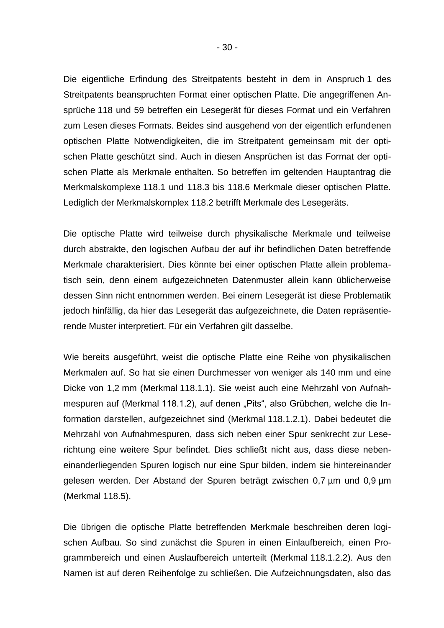Die eigentliche Erfindung des Streitpatents besteht in dem in Anspruch 1 des Streitpatents beanspruchten Format einer optischen Platte. Die angegriffenen Ansprüche 118 und 59 betreffen ein Lesegerät für dieses Format und ein Verfahren zum Lesen dieses Formats. Beides sind ausgehend von der eigentlich erfundenen optischen Platte Notwendigkeiten, die im Streitpatent gemeinsam mit der optischen Platte geschützt sind. Auch in diesen Ansprüchen ist das Format der optischen Platte als Merkmale enthalten. So betreffen im geltenden Hauptantrag die Merkmalskomplexe 118.1 und 118.3 bis 118.6 Merkmale dieser optischen Platte. Lediglich der Merkmalskomplex 118.2 betrifft Merkmale des Lesegeräts.

Die optische Platte wird teilweise durch physikalische Merkmale und teilweise durch abstrakte, den logischen Aufbau der auf ihr befindlichen Daten betreffende Merkmale charakterisiert. Dies könnte bei einer optischen Platte allein problematisch sein, denn einem aufgezeichneten Datenmuster allein kann üblicherweise dessen Sinn nicht entnommen werden. Bei einem Lesegerät ist diese Problematik jedoch hinfällig, da hier das Lesegerät das aufgezeichnete, die Daten repräsentierende Muster interpretiert. Für ein Verfahren gilt dasselbe.

Wie bereits ausgeführt, weist die optische Platte eine Reihe von physikalischen Merkmalen auf. So hat sie einen Durchmesser von weniger als 140 mm und eine Dicke von 1,2 mm (Merkmal 118.1.1). Sie weist auch eine Mehrzahl von Aufnahmespuren auf (Merkmal 118.1.2), auf denen "Pits", also Grübchen, welche die Information darstellen, aufgezeichnet sind (Merkmal 118.1.2.1). Dabei bedeutet die Mehrzahl von Aufnahmespuren, dass sich neben einer Spur senkrecht zur Leserichtung eine weitere Spur befindet. Dies schließt nicht aus, dass diese nebeneinanderliegenden Spuren logisch nur eine Spur bilden, indem sie hintereinander gelesen werden. Der Abstand der Spuren beträgt zwischen 0,7 µm und 0,9 µm (Merkmal 118.5).

Die übrigen die optische Platte betreffenden Merkmale beschreiben deren logischen Aufbau. So sind zunächst die Spuren in einen Einlaufbereich, einen Programmbereich und einen Auslaufbereich unterteilt (Merkmal 118.1.2.2). Aus den Namen ist auf deren Reihenfolge zu schließen. Die Aufzeichnungsdaten, also das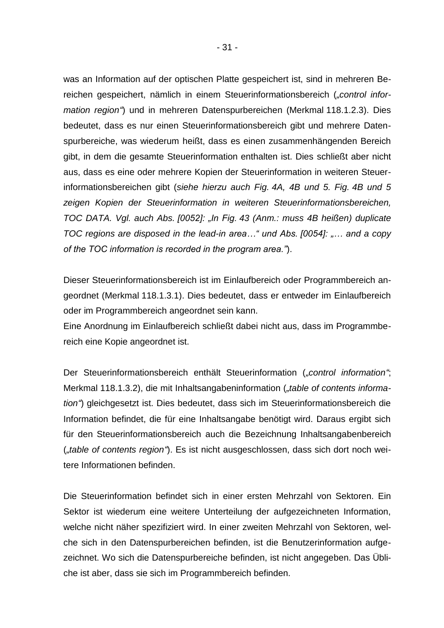was an Information auf der optischen Platte gespeichert ist, sind in mehreren Bereichen gespeichert, nämlich in einem Steuerinformationsbereich (*"control information region"*) und in mehreren Datenspurbereichen (Merkmal 118.1.2.3). Dies bedeutet, dass es nur einen Steuerinformationsbereich gibt und mehrere Datenspurbereiche, was wiederum heißt, dass es einen zusammenhängenden Bereich gibt, in dem die gesamte Steuerinformation enthalten ist. Dies schließt aber nicht aus, dass es eine oder mehrere Kopien der Steuerinformation in weiteren Steuerinformationsbereichen gibt (*siehe hierzu auch Fig. 4A, 4B und 5. Fig. 4B und 5 zeigen Kopien der Steuerinformation in weiteren Steuerinformationsbereichen, TOC DATA. Vgl. auch Abs. [0052]: "In Fig. 43 (Anm.: muss 4B heißen) duplicate TOC regions are disposed in the lead-in area…" und Abs. [0054]: "… and a copy of the TOC information is recorded in the program area."*).

Dieser Steuerinformationsbereich ist im Einlaufbereich oder Programmbereich angeordnet (Merkmal 118.1.3.1). Dies bedeutet, dass er entweder im Einlaufbereich oder im Programmbereich angeordnet sein kann.

Eine Anordnung im Einlaufbereich schließt dabei nicht aus, dass im Programmbereich eine Kopie angeordnet ist.

Der Steuerinformationsbereich enthält Steuerinformation (*"control information"*; Merkmal 118.1.3.2), die mit Inhaltsangabeninformation ("table of contents informa*tion"*) gleichgesetzt ist. Dies bedeutet, dass sich im Steuerinformationsbereich die Information befindet, die für eine Inhaltsangabe benötigt wird. Daraus ergibt sich für den Steuerinformationsbereich auch die Bezeichnung Inhaltsangabenbereich (*"table of contents region"*). Es ist nicht ausgeschlossen, dass sich dort noch weitere Informationen befinden.

Die Steuerinformation befindet sich in einer ersten Mehrzahl von Sektoren. Ein Sektor ist wiederum eine weitere Unterteilung der aufgezeichneten Information, welche nicht näher spezifiziert wird. In einer zweiten Mehrzahl von Sektoren, welche sich in den Datenspurbereichen befinden, ist die Benutzerinformation aufgezeichnet. Wo sich die Datenspurbereiche befinden, ist nicht angegeben. Das Übliche ist aber, dass sie sich im Programmbereich befinden.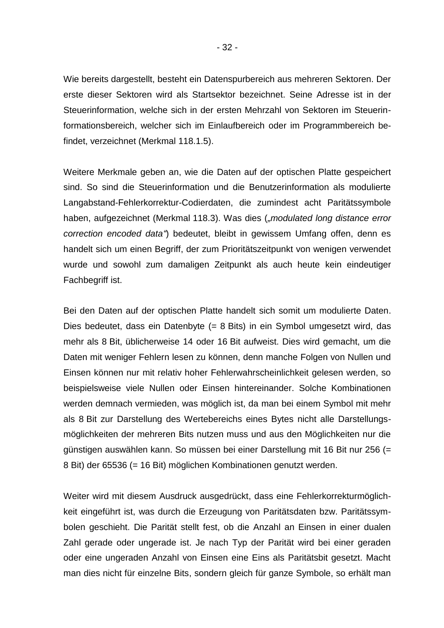Wie bereits dargestellt, besteht ein Datenspurbereich aus mehreren Sektoren. Der erste dieser Sektoren wird als Startsektor bezeichnet. Seine Adresse ist in der Steuerinformation, welche sich in der ersten Mehrzahl von Sektoren im Steuerinformationsbereich, welcher sich im Einlaufbereich oder im Programmbereich befindet, verzeichnet (Merkmal 118.1.5).

Weitere Merkmale geben an, wie die Daten auf der optischen Platte gespeichert sind. So sind die Steuerinformation und die Benutzerinformation als modulierte Langabstand-Fehlerkorrektur-Codierdaten, die zumindest acht Paritätssymbole haben, aufgezeichnet (Merkmal 118.3). Was dies (*"modulated long distance error correction encoded data"*) bedeutet, bleibt in gewissem Umfang offen, denn es handelt sich um einen Begriff, der zum Prioritätszeitpunkt von wenigen verwendet wurde und sowohl zum damaligen Zeitpunkt als auch heute kein eindeutiger Fachbegriff ist.

Bei den Daten auf der optischen Platte handelt sich somit um modulierte Daten. Dies bedeutet, dass ein Datenbyte (= 8 Bits) in ein Symbol umgesetzt wird, das mehr als 8 Bit, üblicherweise 14 oder 16 Bit aufweist. Dies wird gemacht, um die Daten mit weniger Fehlern lesen zu können, denn manche Folgen von Nullen und Einsen können nur mit relativ hoher Fehlerwahrscheinlichkeit gelesen werden, so beispielsweise viele Nullen oder Einsen hintereinander. Solche Kombinationen werden demnach vermieden, was möglich ist, da man bei einem Symbol mit mehr als 8 Bit zur Darstellung des Wertebereichs eines Bytes nicht alle Darstellungsmöglichkeiten der mehreren Bits nutzen muss und aus den Möglichkeiten nur die günstigen auswählen kann. So müssen bei einer Darstellung mit 16 Bit nur 256 (= 8 Bit) der 65536 (= 16 Bit) möglichen Kombinationen genutzt werden.

Weiter wird mit diesem Ausdruck ausgedrückt, dass eine Fehlerkorrekturmöglichkeit eingeführt ist, was durch die Erzeugung von Paritätsdaten bzw. Paritätssymbolen geschieht. Die Parität stellt fest, ob die Anzahl an Einsen in einer dualen Zahl gerade oder ungerade ist. Je nach Typ der Parität wird bei einer geraden oder eine ungeraden Anzahl von Einsen eine Eins als Paritätsbit gesetzt. Macht man dies nicht für einzelne Bits, sondern gleich für ganze Symbole, so erhält man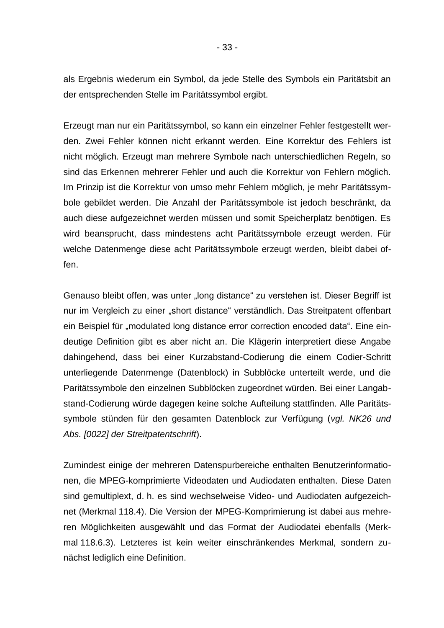als Ergebnis wiederum ein Symbol, da jede Stelle des Symbols ein Paritätsbit an der entsprechenden Stelle im Paritätssymbol ergibt.

Erzeugt man nur ein Paritätssymbol, so kann ein einzelner Fehler festgestellt werden. Zwei Fehler können nicht erkannt werden. Eine Korrektur des Fehlers ist nicht möglich. Erzeugt man mehrere Symbole nach unterschiedlichen Regeln, so sind das Erkennen mehrerer Fehler und auch die Korrektur von Fehlern möglich. Im Prinzip ist die Korrektur von umso mehr Fehlern möglich, je mehr Paritätssymbole gebildet werden. Die Anzahl der Paritätssymbole ist jedoch beschränkt, da auch diese aufgezeichnet werden müssen und somit Speicherplatz benötigen. Es wird beansprucht, dass mindestens acht Paritätssymbole erzeugt werden. Für welche Datenmenge diese acht Paritätssymbole erzeugt werden, bleibt dabei offen.

Genauso bleibt offen, was unter "long distance" zu verstehen ist. Dieser Begriff ist nur im Vergleich zu einer "short distance" verständlich. Das Streitpatent offenbart ein Beispiel für "modulated long distance error correction encoded data". Eine eindeutige Definition gibt es aber nicht an. Die Klägerin interpretiert diese Angabe dahingehend, dass bei einer Kurzabstand-Codierung die einem Codier-Schritt unterliegende Datenmenge (Datenblock) in Subblöcke unterteilt werde, und die Paritätssymbole den einzelnen Subblöcken zugeordnet würden. Bei einer Langabstand-Codierung würde dagegen keine solche Aufteilung stattfinden. Alle Paritätssymbole stünden für den gesamten Datenblock zur Verfügung (*vgl. NK26 und Abs. [0022] der Streitpatentschrift*).

Zumindest einige der mehreren Datenspurbereiche enthalten Benutzerinformationen, die MPEG-komprimierte Videodaten und Audiodaten enthalten. Diese Daten sind gemultiplext, d. h. es sind wechselweise Video- und Audiodaten aufgezeichnet (Merkmal 118.4). Die Version der MPEG-Komprimierung ist dabei aus mehreren Möglichkeiten ausgewählt und das Format der Audiodatei ebenfalls (Merkmal 118.6.3). Letzteres ist kein weiter einschränkendes Merkmal, sondern zunächst lediglich eine Definition.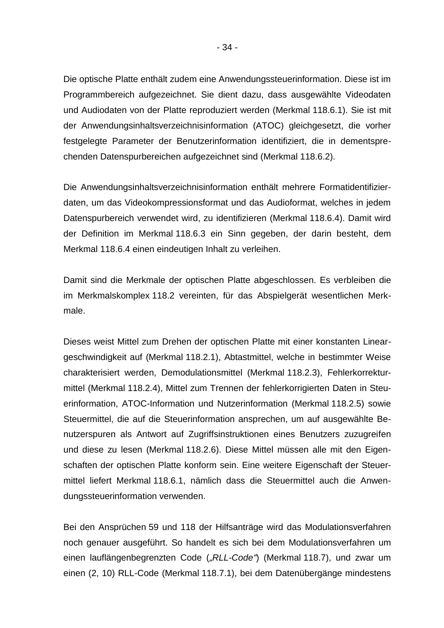Die optische Platte enthält zudem eine Anwendungssteuerinformation. Diese ist im Programmbereich aufgezeichnet. Sie dient dazu, dass ausgewählte Videodaten und Audiodaten von der Platte reproduziert werden (Merkmal 118.6.1). Sie ist mit der Anwendungsinhaltsverzeichnisinformation (ATOC) gleichgesetzt, die vorher festgelegte Parameter der Benutzerinformation identifiziert, die in dementsprechenden Datenspurbereichen aufgezeichnet sind (Merkmal 118.6.2).

Die Anwendungsinhaltsverzeichnisinformation enthält mehrere Formatidentifizierdaten, um das Videokompressionsformat und das Audioformat, welches in jedem Datenspurbereich verwendet wird, zu identifizieren (Merkmal 118.6.4). Damit wird der Definition im Merkmal 118.6.3 ein Sinn gegeben, der darin besteht, dem Merkmal 118.6.4 einen eindeutigen Inhalt zu verleihen.

Damit sind die Merkmale der optischen Platte abgeschlossen. Es verbleiben die im Merkmalskomplex 118.2 vereinten, für das Abspielgerät wesentlichen Merkmale.

Dieses weist Mittel zum Drehen der optischen Platte mit einer konstanten Lineargeschwindigkeit auf (Merkmal 118.2.1), Abtastmittel, welche in bestimmter Weise charakterisiert werden, Demodulationsmittel (Merkmal 118.2.3), Fehlerkorrekturmittel (Merkmal 118.2.4), Mittel zum Trennen der fehlerkorrigierten Daten in Steuerinformation, ATOC-Information und Nutzerinformation (Merkmal 118.2.5) sowie Steuermittel, die auf die Steuerinformation ansprechen, um auf ausgewählte Benutzerspuren als Antwort auf Zugriffsinstruktionen eines Benutzers zuzugreifen und diese zu lesen (Merkmal 118.2.6). Diese Mittel müssen alle mit den Eigenschaften der optischen Platte konform sein. Eine weitere Eigenschaft der Steuermittel liefert Merkmal 118.6.1, nämlich dass die Steuermittel auch die Anwendungssteuerinformation verwenden.

Bei den Ansprüchen 59 und 118 der Hilfsanträge wird das Modulationsverfahren noch genauer ausgeführt. So handelt es sich bei dem Modulationsverfahren um einen lauflängenbegrenzten Code (*"RLL-Code"*) (Merkmal 118.7), und zwar um einen (2, 10) RLL-Code (Merkmal 118.7.1), bei dem Datenübergänge mindestens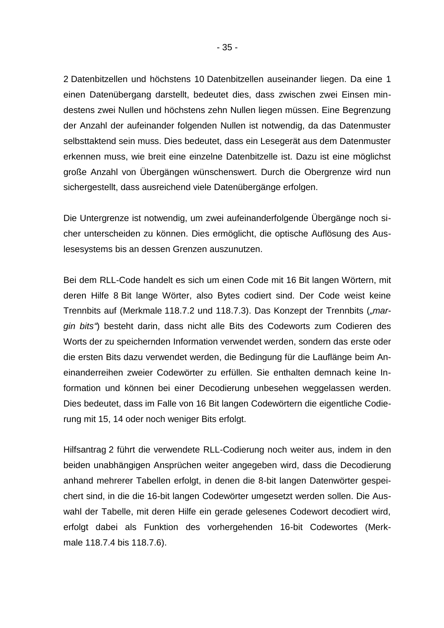2 Datenbitzellen und höchstens 10 Datenbitzellen auseinander liegen. Da eine 1 einen Datenübergang darstellt, bedeutet dies, dass zwischen zwei Einsen mindestens zwei Nullen und höchstens zehn Nullen liegen müssen. Eine Begrenzung der Anzahl der aufeinander folgenden Nullen ist notwendig, da das Datenmuster selbsttaktend sein muss. Dies bedeutet, dass ein Lesegerät aus dem Datenmuster erkennen muss, wie breit eine einzelne Datenbitzelle ist. Dazu ist eine möglichst große Anzahl von Übergängen wünschenswert. Durch die Obergrenze wird nun sichergestellt, dass ausreichend viele Datenübergänge erfolgen.

Die Untergrenze ist notwendig, um zwei aufeinanderfolgende Übergänge noch sicher unterscheiden zu können. Dies ermöglicht, die optische Auflösung des Auslesesystems bis an dessen Grenzen auszunutzen.

Bei dem RLL-Code handelt es sich um einen Code mit 16 Bit langen Wörtern, mit deren Hilfe 8 Bit lange Wörter, also Bytes codiert sind. Der Code weist keine Trennbits auf (Merkmale 118.7.2 und 118.7.3). Das Konzept der Trennbits (*"margin bits"*) besteht darin, dass nicht alle Bits des Codeworts zum Codieren des Worts der zu speichernden Information verwendet werden, sondern das erste oder die ersten Bits dazu verwendet werden, die Bedingung für die Lauflänge beim Aneinanderreihen zweier Codewörter zu erfüllen. Sie enthalten demnach keine Information und können bei einer Decodierung unbesehen weggelassen werden. Dies bedeutet, dass im Falle von 16 Bit langen Codewörtern die eigentliche Codierung mit 15, 14 oder noch weniger Bits erfolgt.

Hilfsantrag 2 führt die verwendete RLL-Codierung noch weiter aus, indem in den beiden unabhängigen Ansprüchen weiter angegeben wird, dass die Decodierung anhand mehrerer Tabellen erfolgt, in denen die 8-bit langen Datenwörter gespeichert sind, in die die 16-bit langen Codewörter umgesetzt werden sollen. Die Auswahl der Tabelle, mit deren Hilfe ein gerade gelesenes Codewort decodiert wird, erfolgt dabei als Funktion des vorhergehenden 16-bit Codewortes (Merkmale 118.7.4 bis 118.7.6).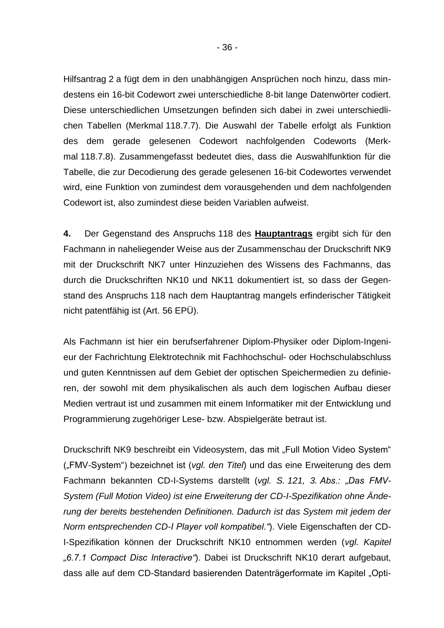Hilfsantrag 2 a fügt dem in den unabhängigen Ansprüchen noch hinzu, dass mindestens ein 16-bit Codewort zwei unterschiedliche 8-bit lange Datenwörter codiert. Diese unterschiedlichen Umsetzungen befinden sich dabei in zwei unterschiedlichen Tabellen (Merkmal 118.7.7). Die Auswahl der Tabelle erfolgt als Funktion des dem gerade gelesenen Codewort nachfolgenden Codeworts (Merkmal 118.7.8). Zusammengefasst bedeutet dies, dass die Auswahlfunktion für die Tabelle, die zur Decodierung des gerade gelesenen 16-bit Codewortes verwendet wird, eine Funktion von zumindest dem vorausgehenden und dem nachfolgenden Codewort ist, also zumindest diese beiden Variablen aufweist.

**4.** Der Gegenstand des Anspruchs 118 des **Hauptantrags** ergibt sich für den Fachmann in naheliegender Weise aus der Zusammenschau der Druckschrift NK9 mit der Druckschrift NK7 unter Hinzuziehen des Wissens des Fachmanns, das durch die Druckschriften NK10 und NK11 dokumentiert ist, so dass der Gegenstand des Anspruchs 118 nach dem Hauptantrag mangels erfinderischer Tätigkeit nicht patentfähig ist (Art. 56 EPÜ).

Als Fachmann ist hier ein berufserfahrener Diplom-Physiker oder Diplom-Ingenieur der Fachrichtung Elektrotechnik mit Fachhochschul- oder Hochschulabschluss und guten Kenntnissen auf dem Gebiet der optischen Speichermedien zu definieren, der sowohl mit dem physikalischen als auch dem logischen Aufbau dieser Medien vertraut ist und zusammen mit einem Informatiker mit der Entwicklung und Programmierung zugehöriger Lese- bzw. Abspielgeräte betraut ist.

Druckschrift NK9 beschreibt ein Videosystem, das mit "Full Motion Video System" ("FMV-System") bezeichnet ist (*vgl. den Titel*) und das eine Erweiterung des dem Fachmann bekannten CD-I-Systems darstellt (*vgl. S. 121, 3. Abs.: "Das FMV-System (Full Motion Video) ist eine Erweiterung der CD-I-Spezifikation ohne Änderung der bereits bestehenden Definitionen. Dadurch ist das System mit jedem der Norm entsprechenden CD-I Player voll kompatibel."*). Viele Eigenschaften der CD-I-Spezifikation können der Druckschrift NK10 entnommen werden (*vgl. Kapitel "6.7.1 Compact Disc Interactive"*). Dabei ist Druckschrift NK10 derart aufgebaut, dass alle auf dem CD-Standard basierenden Datenträgerformate im Kapitel "Opti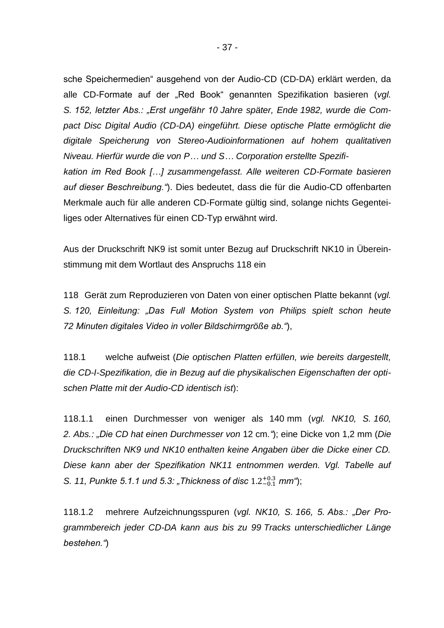sche Speichermedien" ausgehend von der Audio-CD (CD-DA) erklärt werden, da alle CD-Formate auf der "Red Book" genannten Spezifikation basieren (*vgl. S. 152, letzter Abs.: "Erst ungefähr 10 Jahre später, Ende 1982, wurde die Compact Disc Digital Audio (CD-DA) eingeführt. Diese optische Platte ermöglicht die digitale Speicherung von Stereo-Audioinformationen auf hohem qualitativen Niveau. Hierfür wurde die von P… und S… Corporation erstellte Spezifikation im Red Book […] zusammengefasst. Alle weiteren CD-Formate basieren auf dieser Beschreibung."*). Dies bedeutet, dass die für die Audio-CD offenbarten Merkmale auch für alle anderen CD-Formate gültig sind, solange nichts Gegenteiliges oder Alternatives für einen CD-Typ erwähnt wird.

Aus der Druckschrift NK9 ist somit unter Bezug auf Druckschrift NK10 in Übereinstimmung mit dem Wortlaut des Anspruchs 118 ein

118 Gerät zum Reproduzieren von Daten von einer optischen Platte bekannt (*vgl. S. 120, Einleitung: "Das Full Motion System von Philips spielt schon heute 72 Minuten digitales Video in voller Bildschirmgröße ab."*),

118.1 welche aufweist (*Die optischen Platten erfüllen, wie bereits dargestellt, die CD-I-Spezifikation, die in Bezug auf die physikalischen Eigenschaften der optischen Platte mit der Audio-CD identisch ist*):

118.1.1 einen Durchmesser von weniger als 140 mm (*vgl. NK10, S. 160, 2. Abs.: "Die CD hat einen Durchmesser von* 12 cm*."*); eine Dicke von 1,2 mm (*Die Druckschriften NK9 und NK10 enthalten keine Angaben über die Dicke einer CD. Diese kann aber der Spezifikation NK11 entnommen werden. Vgl. Tabelle auf*  S. 11, Punkte 5.1.1 und 5.3: "Thickness of disc 1.2<sup>+0.3</sup> mm");

118.1.2 mehrere Aufzeichnungsspuren (*vgl. NK10, S. 166, 5. Abs.: "Der Programmbereich jeder CD-DA kann aus bis zu 99 Tracks unterschiedlicher Länge bestehen."*)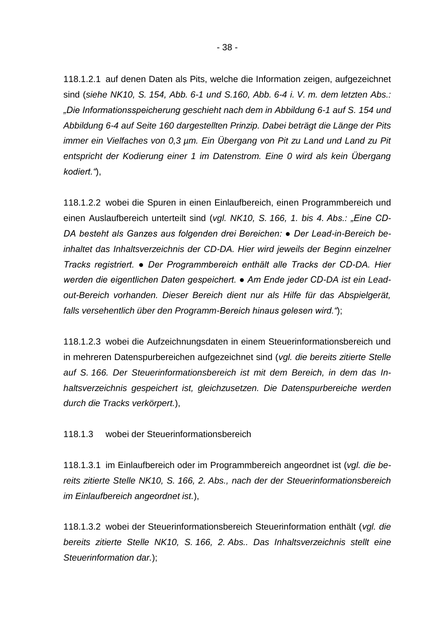118.1.2.1 auf denen Daten als Pits, welche die Information zeigen, aufgezeichnet sind (*siehe NK10, S. 154, Abb. 6-1 und S.160, Abb. 6-4 i. V. m. dem letzten Abs.: "Die Informationsspeicherung geschieht nach dem in Abbildung 6-1 auf S. 154 und Abbildung 6-4 auf Seite 160 dargestellten Prinzip. Dabei beträgt die Länge der Pits immer ein Vielfaches von 0,3 µm. Ein Übergang von Pit zu Land und Land zu Pit entspricht der Kodierung einer 1 im Datenstrom. Eine 0 wird als kein Übergang kodiert."*),

118.1.2.2 wobei die Spuren in einen Einlaufbereich, einen Programmbereich und einen Auslaufbereich unterteilt sind (*vgl. NK10, S. 166, 1. bis 4. Abs.: "Eine CD-DA besteht als Ganzes aus folgenden drei Bereichen: ● Der Lead-in-Bereich beinhaltet das Inhaltsverzeichnis der CD-DA. Hier wird jeweils der Beginn einzelner Tracks registriert. ● Der Programmbereich enthält alle Tracks der CD-DA. Hier werden die eigentlichen Daten gespeichert. ● Am Ende jeder CD-DA ist ein Leadout-Bereich vorhanden. Dieser Bereich dient nur als Hilfe für das Abspielgerät, falls versehentlich über den Programm-Bereich hinaus gelesen wird."*);

118.1.2.3 wobei die Aufzeichnungsdaten in einem Steuerinformationsbereich und in mehreren Datenspurbereichen aufgezeichnet sind (*vgl. die bereits zitierte Stelle auf S. 166. Der Steuerinformationsbereich ist mit dem Bereich, in dem das Inhaltsverzeichnis gespeichert ist, gleichzusetzen. Die Datenspurbereiche werden durch die Tracks verkörpert.*),

#### 118.1.3 wobei der Steuerinformationsbereich

118.1.3.1 im Einlaufbereich oder im Programmbereich angeordnet ist (*vgl. die bereits zitierte Stelle NK10, S. 166, 2. Abs., nach der der Steuerinformationsbereich im Einlaufbereich angeordnet ist.*),

118.1.3.2 wobei der Steuerinformationsbereich Steuerinformation enthält (*vgl. die bereits zitierte Stelle NK10, S. 166, 2. Abs.. Das Inhaltsverzeichnis stellt eine Steuerinformation dar.*);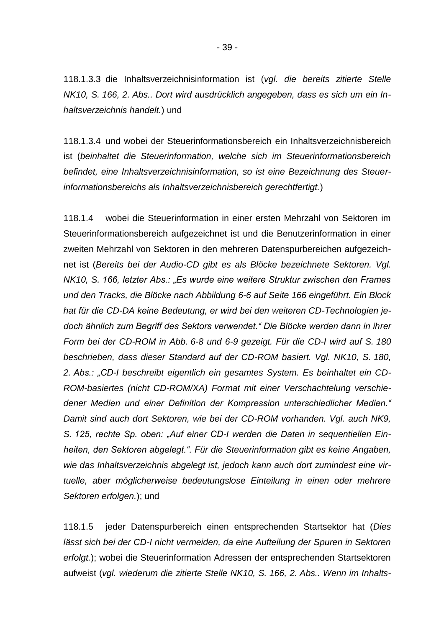118.1.3.3 die Inhaltsverzeichnisinformation ist (*vgl. die bereits zitierte Stelle NK10, S. 166, 2. Abs.. Dort wird ausdrücklich angegeben, dass es sich um ein Inhaltsverzeichnis handelt.*) und

118.1.3.4 und wobei der Steuerinformationsbereich ein Inhaltsverzeichnisbereich ist (*beinhaltet die Steuerinformation, welche sich im Steuerinformationsbereich befindet, eine Inhaltsverzeichnisinformation, so ist eine Bezeichnung des Steuerinformationsbereichs als Inhaltsverzeichnisbereich gerechtfertigt.*)

118.1.4 wobei die Steuerinformation in einer ersten Mehrzahl von Sektoren im Steuerinformationsbereich aufgezeichnet ist und die Benutzerinformation in einer zweiten Mehrzahl von Sektoren in den mehreren Datenspurbereichen aufgezeichnet ist (*Bereits bei der Audio-CD gibt es als Blöcke bezeichnete Sektoren. Vgl. NK10, S. 166, letzter Abs.: "Es wurde eine weitere Struktur zwischen den Frames und den Tracks, die Blöcke nach Abbildung 6-6 auf Seite 166 eingeführt. Ein Block hat für die CD-DA keine Bedeutung, er wird bei den weiteren CD-Technologien jedoch ähnlich zum Begriff des Sektors verwendet." Die Blöcke werden dann in ihrer Form bei der CD-ROM in Abb. 6-8 und 6-9 gezeigt. Für die CD-I wird auf S. 180 beschrieben, dass dieser Standard auf der CD-ROM basiert. Vgl. NK10, S. 180, 2. Abs.: "CD-I beschreibt eigentlich ein gesamtes System. Es beinhaltet ein CD-ROM-basiertes (nicht CD-ROM/XA) Format mit einer Verschachtelung verschiedener Medien und einer Definition der Kompression unterschiedlicher Medien." Damit sind auch dort Sektoren, wie bei der CD-ROM vorhanden. Vgl. auch NK9, S. 125, rechte Sp. oben: "Auf einer CD-I werden die Daten in sequentiellen Einheiten, den Sektoren abgelegt.". Für die Steuerinformation gibt es keine Angaben, wie das Inhaltsverzeichnis abgelegt ist, jedoch kann auch dort zumindest eine virtuelle, aber möglicherweise bedeutungslose Einteilung in einen oder mehrere Sektoren erfolgen.*); und

118.1.5 jeder Datenspurbereich einen entsprechenden Startsektor hat (*Dies*  lässt sich bei der CD-I nicht vermeiden, da eine Aufteilung der Spuren in Sektoren *erfolgt.*); wobei die Steuerinformation Adressen der entsprechenden Startsektoren aufweist (*vgl. wiederum die zitierte Stelle NK10, S. 166, 2. Abs.. Wenn im Inhalts-*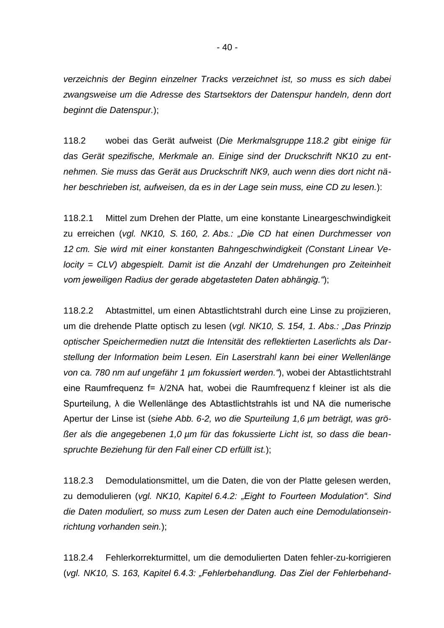*verzeichnis der Beginn einzelner Tracks verzeichnet ist, so muss es sich dabei zwangsweise um die Adresse des Startsektors der Datenspur handeln, denn dort beginnt die Datenspur.*);

118.2 wobei das Gerät aufweist (*Die Merkmalsgruppe 118.2 gibt einige für das Gerät spezifische, Merkmale an. Einige sind der Druckschrift NK10 zu entnehmen. Sie muss das Gerät aus Druckschrift NK9, auch wenn dies dort nicht näher beschrieben ist, aufweisen, da es in der Lage sein muss, eine CD zu lesen.*):

118.2.1 Mittel zum Drehen der Platte, um eine konstante Lineargeschwindigkeit zu erreichen (*vgl. NK10, S. 160, 2. Abs.: "Die CD hat einen Durchmesser von 12 cm. Sie wird mit einer konstanten Bahngeschwindigkeit (Constant Linear Velocity = CLV) abgespielt. Damit ist die Anzahl der Umdrehungen pro Zeiteinheit vom jeweiligen Radius der gerade abgetasteten Daten abhängig."*);

118.2.2 Abtastmittel, um einen Abtastlichtstrahl durch eine Linse zu projizieren, um die drehende Platte optisch zu lesen (*vgl. NK10, S. 154, 1. Abs.: "Das Prinzip optischer Speichermedien nutzt die Intensität des reflektierten Laserlichts als Darstellung der Information beim Lesen. Ein Laserstrahl kann bei einer Wellenlänge von ca. 780 nm auf ungefähr 1 µm fokussiert werden."*), wobei der Abtastlichtstrahl eine Raumfrequenz f= λ/2NA hat, wobei die Raumfrequenz f kleiner ist als die Spurteilung, λ die Wellenlänge des Abtastlichtstrahls ist und NA die numerische Apertur der Linse ist (*siehe Abb. 6-2, wo die Spurteilung 1,6 µm beträgt, was größer als die angegebenen 1,0 µm für das fokussierte Licht ist, so dass die beanspruchte Beziehung für den Fall einer CD erfüllt ist.*);

118.2.3 Demodulationsmittel, um die Daten, die von der Platte gelesen werden, zu demodulieren (*vgl. NK10, Kapitel 6.4.2: "Eight to Fourteen Modulation". Sind die Daten moduliert, so muss zum Lesen der Daten auch eine Demodulationseinrichtung vorhanden sein.*);

118.2.4 Fehlerkorrekturmittel, um die demodulierten Daten fehler-zu-korrigieren (*vgl. NK10, S. 163, Kapitel 6.4.3: "Fehlerbehandlung. Das Ziel der Fehlerbehand-*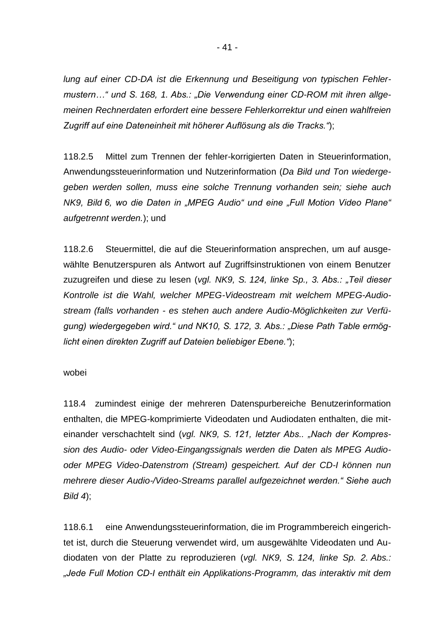*lung auf einer CD-DA ist die Erkennung und Beseitigung von typischen Fehlermustern…" und S. 168, 1. Abs.: "Die Verwendung einer CD-ROM mit ihren allgemeinen Rechnerdaten erfordert eine bessere Fehlerkorrektur und einen wahlfreien Zugriff auf eine Dateneinheit mit höherer Auflösung als die Tracks."*);

118.2.5 Mittel zum Trennen der fehler-korrigierten Daten in Steuerinformation, Anwendungssteuerinformation und Nutzerinformation (*Da Bild und Ton wiedergegeben werden sollen, muss eine solche Trennung vorhanden sein; siehe auch NK9, Bild 6, wo die Daten in "MPEG Audio" und eine "Full Motion Video Plane" aufgetrennt werden.*); und

118.2.6 Steuermittel, die auf die Steuerinformation ansprechen, um auf ausgewählte Benutzerspuren als Antwort auf Zugriffsinstruktionen von einem Benutzer zuzugreifen und diese zu lesen (*vgl. NK9, S. 124, linke Sp., 3. Abs.: "Teil dieser Kontrolle ist die Wahl, welcher MPEG-Videostream mit welchem MPEG-Audiostream (falls vorhanden - es stehen auch andere Audio-Möglichkeiten zur Verfügung) wiedergegeben wird." und NK10, S. 172, 3. Abs.: "Diese Path Table ermöglicht einen direkten Zugriff auf Dateien beliebiger Ebene."*);

#### wobei

118.4 zumindest einige der mehreren Datenspurbereiche Benutzerinformation enthalten, die MPEG-komprimierte Videodaten und Audiodaten enthalten, die miteinander verschachtelt sind (*vgl. NK9, S. 121, letzter Abs.. "Nach der Kompression des Audio- oder Video-Eingangssignals werden die Daten als MPEG Audiooder MPEG Video-Datenstrom (Stream) gespeichert. Auf der CD-I können nun mehrere dieser Audio-/Video-Streams parallel aufgezeichnet werden." Siehe auch Bild 4*);

118.6.1 eine Anwendungssteuerinformation, die im Programmbereich eingerichtet ist, durch die Steuerung verwendet wird, um ausgewählte Videodaten und Audiodaten von der Platte zu reproduzieren (*vgl. NK9, S. 124, linke Sp. 2. Abs.: "Jede Full Motion CD-I enthält ein Applikations-Programm, das interaktiv mit dem*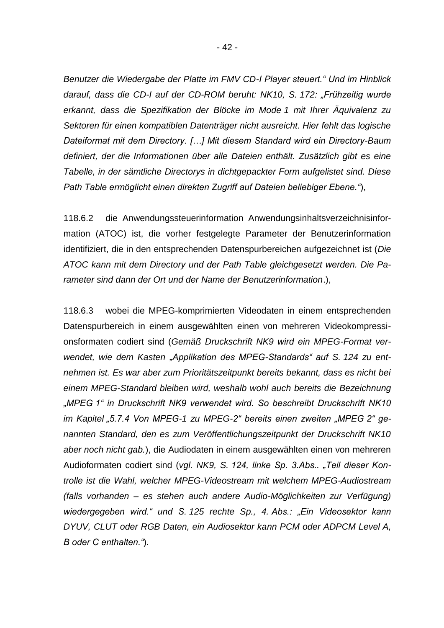*Benutzer die Wiedergabe der Platte im FMV CD-I Player steuert." Und im Hinblick darauf, dass die CD-I auf der CD-ROM beruht: NK10, S. 172: "Frühzeitig wurde erkannt, dass die Spezifikation der Blöcke im Mode 1 mit Ihrer Äquivalenz zu Sektoren für einen kompatiblen Datenträger nicht ausreicht. Hier fehlt das logische Dateiformat mit dem Directory. […] Mit diesem Standard wird ein Directory-Baum definiert, der die Informationen über alle Dateien enthält. Zusätzlich gibt es eine Tabelle, in der sämtliche Directorys in dichtgepackter Form aufgelistet sind. Diese Path Table ermöglicht einen direkten Zugriff auf Dateien beliebiger Ebene."*),

118.6.2 die Anwendungssteuerinformation Anwendungsinhaltsverzeichnisinformation (ATOC) ist, die vorher festgelegte Parameter der Benutzerinformation identifiziert, die in den entsprechenden Datenspurbereichen aufgezeichnet ist (*Die ATOC kann mit dem Directory und der Path Table gleichgesetzt werden. Die Parameter sind dann der Ort und der Name der Benutzerinformation*.),

118.6.3 wobei die MPEG-komprimierten Videodaten in einem entsprechenden Datenspurbereich in einem ausgewählten einen von mehreren Videokompressionsformaten codiert sind (*Gemäß Druckschrift NK9 wird ein MPEG-Format verwendet, wie dem Kasten "Applikation des MPEG-Standards" auf S. 124 zu entnehmen ist. Es war aber zum Prioritätszeitpunkt bereits bekannt, dass es nicht bei einem MPEG-Standard bleiben wird, weshalb wohl auch bereits die Bezeichnung "MPEG 1" in Druckschrift NK9 verwendet wird. So beschreibt Druckschrift NK10 im Kapitel "5.7.4 Von MPEG-1 zu MPEG-2" bereits einen zweiten "MPEG 2" genannten Standard, den es zum Veröffentlichungszeitpunkt der Druckschrift NK10 aber noch nicht gab.*), die Audiodaten in einem ausgewählten einen von mehreren Audioformaten codiert sind (*vgl. NK9, S. 124, linke Sp. 3.Abs.. "Teil dieser Kontrolle ist die Wahl, welcher MPEG-Videostream mit welchem MPEG-Audiostream (falls vorhanden – es stehen auch andere Audio-Möglichkeiten zur Verfügung) wiedergegeben wird." und S. 125 rechte Sp., 4. Abs.: "Ein Videosektor kann DYUV, CLUT oder RGB Daten, ein Audiosektor kann PCM oder ADPCM Level A, B oder C enthalten."*).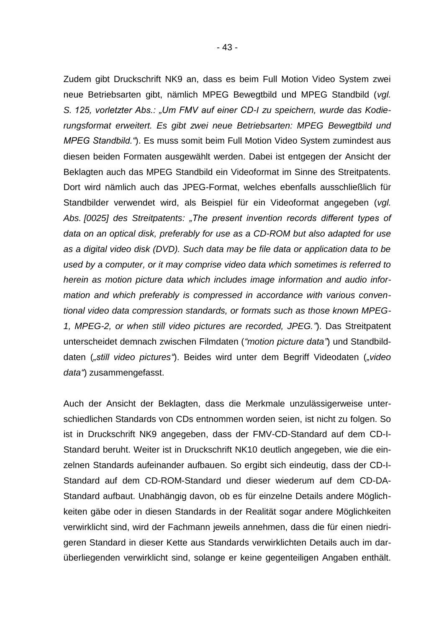Zudem gibt Druckschrift NK9 an, dass es beim Full Motion Video System zwei neue Betriebsarten gibt, nämlich MPEG Bewegtbild und MPEG Standbild (*vgl. S. 125, vorletzter Abs.: "Um FMV auf einer CD-I zu speichern, wurde das Kodierungsformat erweitert. Es gibt zwei neue Betriebsarten: MPEG Bewegtbild und MPEG Standbild."*). Es muss somit beim Full Motion Video System zumindest aus diesen beiden Formaten ausgewählt werden. Dabei ist entgegen der Ansicht der Beklagten auch das MPEG Standbild ein Videoformat im Sinne des Streitpatents. Dort wird nämlich auch das JPEG-Format, welches ebenfalls ausschließlich für Standbilder verwendet wird, als Beispiel für ein Videoformat angegeben (*vgl. Abs. [0025] des Streitpatents: "The present invention records different types of data on an optical disk, preferably for use as a CD-ROM but also adapted for use as a digital video disk (DVD). Such data may be file data or application data to be used by a computer, or it may comprise video data which sometimes is referred to herein as motion picture data which includes image information and audio information and which preferably is compressed in accordance with various conventional video data compression standards, or formats such as those known MPEG-1, MPEG-2, or when still video pictures are recorded, JPEG."*). Das Streitpatent unterscheidet demnach zwischen Filmdaten (*"motion picture data"*) und Standbilddaten (*"still video pictures"*). Beides wird unter dem Begriff Videodaten (*"video data"*) zusammengefasst.

Auch der Ansicht der Beklagten, dass die Merkmale unzulässigerweise unterschiedlichen Standards von CDs entnommen worden seien, ist nicht zu folgen. So ist in Druckschrift NK9 angegeben, dass der FMV-CD-Standard auf dem CD-I-Standard beruht. Weiter ist in Druckschrift NK10 deutlich angegeben, wie die einzelnen Standards aufeinander aufbauen. So ergibt sich eindeutig, dass der CD-I-Standard auf dem CD-ROM-Standard und dieser wiederum auf dem CD-DA-Standard aufbaut. Unabhängig davon, ob es für einzelne Details andere Möglichkeiten gäbe oder in diesen Standards in der Realität sogar andere Möglichkeiten verwirklicht sind, wird der Fachmann jeweils annehmen, dass die für einen niedrigeren Standard in dieser Kette aus Standards verwirklichten Details auch im darüberliegenden verwirklicht sind, solange er keine gegenteiligen Angaben enthält.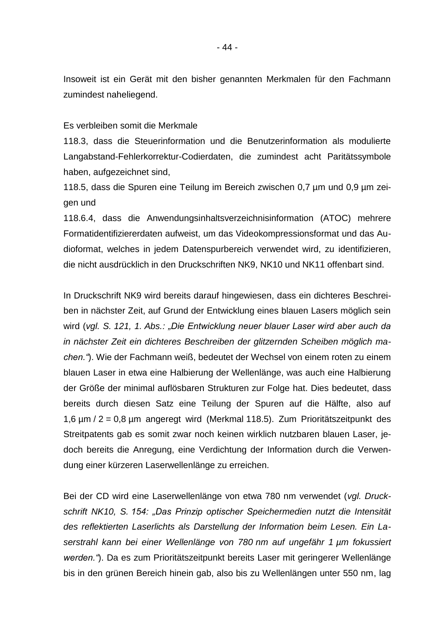Insoweit ist ein Gerät mit den bisher genannten Merkmalen für den Fachmann zumindest naheliegend.

Es verbleiben somit die Merkmale

118.3, dass die Steuerinformation und die Benutzerinformation als modulierte Langabstand-Fehlerkorrektur-Codierdaten, die zumindest acht Paritätssymbole haben, aufgezeichnet sind,

118.5, dass die Spuren eine Teilung im Bereich zwischen 0,7 µm und 0,9 µm zeigen und

118.6.4, dass die Anwendungsinhaltsverzeichnisinformation (ATOC) mehrere Formatidentifiziererdaten aufweist, um das Videokompressionsformat und das Audioformat, welches in jedem Datenspurbereich verwendet wird, zu identifizieren, die nicht ausdrücklich in den Druckschriften NK9, NK10 und NK11 offenbart sind.

In Druckschrift NK9 wird bereits darauf hingewiesen, dass ein dichteres Beschreiben in nächster Zeit, auf Grund der Entwicklung eines blauen Lasers möglich sein wird (*vgl. S. 121, 1. Abs.: "Die Entwicklung neuer blauer Laser wird aber auch da in nächster Zeit ein dichteres Beschreiben der glitzernden Scheiben möglich machen."*). Wie der Fachmann weiß, bedeutet der Wechsel von einem roten zu einem blauen Laser in etwa eine Halbierung der Wellenlänge, was auch eine Halbierung der Größe der minimal auflösbaren Strukturen zur Folge hat. Dies bedeutet, dass bereits durch diesen Satz eine Teilung der Spuren auf die Hälfte, also auf 1,6 µm / 2 = 0,8 µm angeregt wird (Merkmal 118.5). Zum Prioritätszeitpunkt des Streitpatents gab es somit zwar noch keinen wirklich nutzbaren blauen Laser, jedoch bereits die Anregung, eine Verdichtung der Information durch die Verwendung einer kürzeren Laserwellenlänge zu erreichen.

Bei der CD wird eine Laserwellenlänge von etwa 780 nm verwendet (*vgl. Druckschrift NK10, S. 154: "Das Prinzip optischer Speichermedien nutzt die Intensität des reflektierten Laserlichts als Darstellung der Information beim Lesen. Ein Laserstrahl kann bei einer Wellenlänge von 780 nm auf ungefähr 1 µm fokussiert werden."*). Da es zum Prioritätszeitpunkt bereits Laser mit geringerer Wellenlänge bis in den grünen Bereich hinein gab, also bis zu Wellenlängen unter 550 nm, lag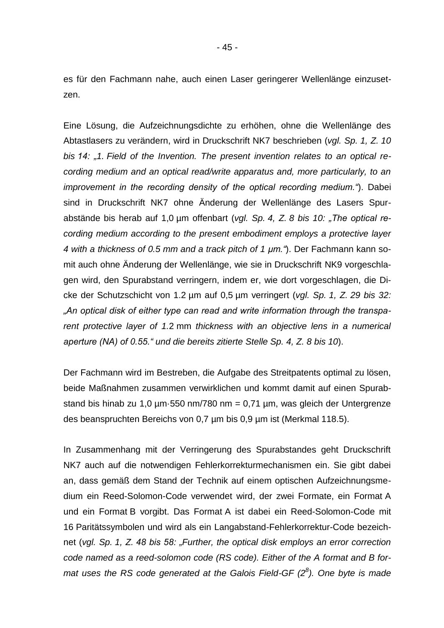es für den Fachmann nahe, auch einen Laser geringerer Wellenlänge einzusetzen.

Eine Lösung, die Aufzeichnungsdichte zu erhöhen, ohne die Wellenlänge des Abtastlasers zu verändern, wird in Druckschrift NK7 beschrieben (*vgl. Sp. 1, Z. 10 bis 14: "1. Field of the Invention. The present invention relates to an optical recording medium and an optical read/write apparatus and, more particularly, to an improvement in the recording density of the optical recording medium."*). Dabei sind in Druckschrift NK7 ohne Änderung der Wellenlänge des Lasers Spurabstände bis herab auf 1,0 µm offenbart (*vgl. Sp. 4, Z. 8 bis 10: "The optical recording medium according to the present embodiment employs a protective layer 4 with a thickness of 0.5 mm and a track pitch of 1 µm."*). Der Fachmann kann somit auch ohne Änderung der Wellenlänge, wie sie in Druckschrift NK9 vorgeschlagen wird, den Spurabstand verringern, indem er, wie dort vorgeschlagen, die Dicke der Schutzschicht von 1.2 µm auf 0,5 µm verringert (*vgl. Sp. 1, Z. 29 bis 32: "An optical disk of either type can read and write information through the transparent protective layer of 1.*2 mm *thickness with an objective lens in a numerical aperture (NA) of 0.55." und die bereits zitierte Stelle Sp. 4, Z. 8 bis 10*).

Der Fachmann wird im Bestreben, die Aufgabe des Streitpatents optimal zu lösen, beide Maßnahmen zusammen verwirklichen und kommt damit auf einen Spurabstand bis hinab zu 1,0  $\mu$ m·550 nm/780 nm = 0,71  $\mu$ m, was gleich der Untergrenze des beanspruchten Bereichs von 0,7 µm bis 0,9 µm ist (Merkmal 118.5).

In Zusammenhang mit der Verringerung des Spurabstandes geht Druckschrift NK7 auch auf die notwendigen Fehlerkorrekturmechanismen ein. Sie gibt dabei an, dass gemäß dem Stand der Technik auf einem optischen Aufzeichnungsmedium ein Reed-Solomon-Code verwendet wird, der zwei Formate, ein Format A und ein Format B vorgibt. Das Format A ist dabei ein Reed-Solomon-Code mit 16 Paritätssymbolen und wird als ein Langabstand-Fehlerkorrektur-Code bezeichnet (*vgl. Sp. 1, Z. 48 bis 58: "Further, the optical disk employs an error correction code named as a reed-solomon code (RS code). Either of the A format and B format uses the RS code generated at the Galois Field-GF (2<sup>8</sup> ). One byte is made*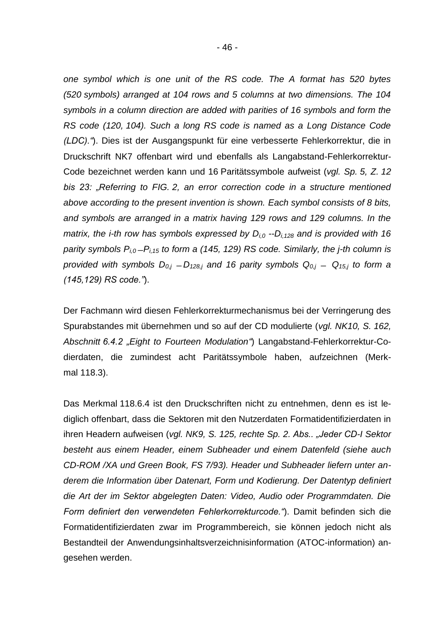*one symbol which is one unit of the RS code. The A format has 520 bytes (520 symbols) arranged at 104 rows and 5 columns at two dimensions. The 104 symbols in a column direction are added with parities of 16 symbols and form the RS code (120, 104). Such a long RS code is named as a Long Distance Code (LDC)."*). Dies ist der Ausgangspunkt für eine verbesserte Fehlerkorrektur, die in Druckschrift NK7 offenbart wird und ebenfalls als Langabstand-Fehlerkorrektur-Code bezeichnet werden kann und 16 Paritätssymbole aufweist (*vgl. Sp. 5, Z. 12 bis 23: "Referring to FIG. 2, an error correction code in a structure mentioned above according to the present invention is shown. Each symbol consists of 8 bits, and symbols are arranged in a matrix having 129 rows and 129 columns. In the matrix, the i-th row has symbols expressed by Di,0 --Di,128 and is provided with 16 parity symbols Pi,0 ̶Pi,15 to form a (145, 129) RS code. Similarly, the j-th column is provided with symbols*  $D_{0,j} - D_{128,j}$  *and 16 parity symbols*  $Q_{0,j} - Q_{15,j}$  *to form a (145,129) RS code."*).

Der Fachmann wird diesen Fehlerkorrekturmechanismus bei der Verringerung des Spurabstandes mit übernehmen und so auf der CD modulierte (*vgl. NK10, S. 162, Abschnitt 6.4.2 "Eight to Fourteen Modulation"*) Langabstand-Fehlerkorrektur-Codierdaten, die zumindest acht Paritätssymbole haben, aufzeichnen (Merkmal 118.3).

Das Merkmal 118.6.4 ist den Druckschriften nicht zu entnehmen, denn es ist lediglich offenbart, dass die Sektoren mit den Nutzerdaten Formatidentifizierdaten in ihren Headern aufweisen (*vgl. NK9, S. 125, rechte Sp. 2. Abs.. "Jeder CD-I Sektor besteht aus einem Header, einem Subheader und einem Datenfeld (siehe auch CD-ROM /XA und Green Book, FS 7/93). Header und Subheader liefern unter anderem die Information über Datenart, Form und Kodierung. Der Datentyp definiert die Art der im Sektor abgelegten Daten: Video, Audio oder Programmdaten. Die Form definiert den verwendeten Fehlerkorrekturcode."*). Damit befinden sich die Formatidentifizierdaten zwar im Programmbereich, sie können jedoch nicht als Bestandteil der Anwendungsinhaltsverzeichnisinformation (ATOC-information) angesehen werden.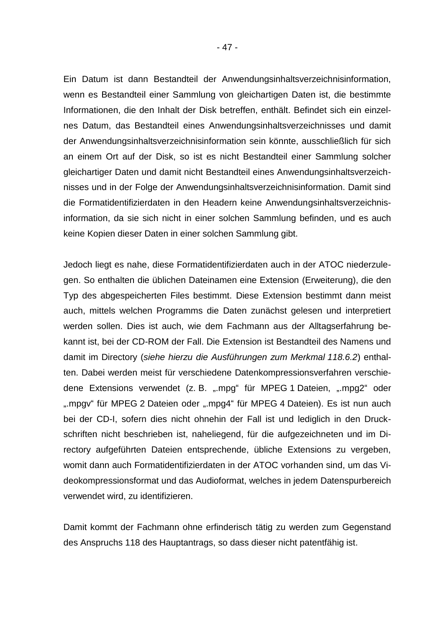Ein Datum ist dann Bestandteil der Anwendungsinhaltsverzeichnisinformation, wenn es Bestandteil einer Sammlung von gleichartigen Daten ist, die bestimmte Informationen, die den Inhalt der Disk betreffen, enthält. Befindet sich ein einzelnes Datum, das Bestandteil eines Anwendungsinhaltsverzeichnisses und damit der Anwendungsinhaltsverzeichnisinformation sein könnte, ausschließlich für sich an einem Ort auf der Disk, so ist es nicht Bestandteil einer Sammlung solcher gleichartiger Daten und damit nicht Bestandteil eines Anwendungsinhaltsverzeichnisses und in der Folge der Anwendungsinhaltsverzeichnisinformation. Damit sind die Formatidentifizierdaten in den Headern keine Anwendungsinhaltsverzeichnisinformation, da sie sich nicht in einer solchen Sammlung befinden, und es auch keine Kopien dieser Daten in einer solchen Sammlung gibt.

Jedoch liegt es nahe, diese Formatidentifizierdaten auch in der ATOC niederzulegen. So enthalten die üblichen Dateinamen eine Extension (Erweiterung), die den Typ des abgespeicherten Files bestimmt. Diese Extension bestimmt dann meist auch, mittels welchen Programms die Daten zunächst gelesen und interpretiert werden sollen. Dies ist auch, wie dem Fachmann aus der Alltagserfahrung bekannt ist, bei der CD-ROM der Fall. Die Extension ist Bestandteil des Namens und damit im Directory (*siehe hierzu die Ausführungen zum Merkmal 118.6.2*) enthalten. Dabei werden meist für verschiedene Datenkompressionsverfahren verschiedene Extensions verwendet (z. B. ".mpg" für MPEG 1 Dateien, ".mpg2" oder ".mpgv" für MPEG 2 Dateien oder ".mpg4" für MPEG 4 Dateien). Es ist nun auch bei der CD-I, sofern dies nicht ohnehin der Fall ist und lediglich in den Druckschriften nicht beschrieben ist, naheliegend, für die aufgezeichneten und im Directory aufgeführten Dateien entsprechende, übliche Extensions zu vergeben, womit dann auch Formatidentifizierdaten in der ATOC vorhanden sind, um das Videokompressionsformat und das Audioformat, welches in jedem Datenspurbereich verwendet wird, zu identifizieren.

Damit kommt der Fachmann ohne erfinderisch tätig zu werden zum Gegenstand des Anspruchs 118 des Hauptantrags, so dass dieser nicht patentfähig ist.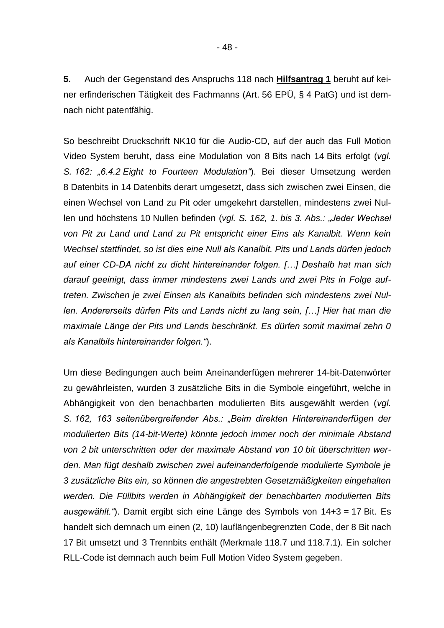**5.** Auch der Gegenstand des Anspruchs 118 nach **Hilfsantrag 1** beruht auf keiner erfinderischen Tätigkeit des Fachmanns (Art. 56 EPÜ, § 4 PatG) und ist demnach nicht patentfähig.

So beschreibt Druckschrift NK10 für die Audio-CD, auf der auch das Full Motion Video System beruht, dass eine Modulation von 8 Bits nach 14 Bits erfolgt (*vgl. S. 162: "6.4.2 Eight to Fourteen Modulation"*). Bei dieser Umsetzung werden 8 Datenbits in 14 Datenbits derart umgesetzt, dass sich zwischen zwei Einsen, die einen Wechsel von Land zu Pit oder umgekehrt darstellen, mindestens zwei Nullen und höchstens 10 Nullen befinden (*vgl. S. 162, 1. bis 3. Abs.: "Jeder Wechsel von Pit zu Land und Land zu Pit entspricht einer Eins als Kanalbit. Wenn kein Wechsel stattfindet, so ist dies eine Null als Kanalbit. Pits und Lands dürfen jedoch auf einer CD-DA nicht zu dicht hintereinander folgen. […] Deshalb hat man sich darauf geeinigt, dass immer mindestens zwei Lands und zwei Pits in Folge auftreten. Zwischen je zwei Einsen als Kanalbits befinden sich mindestens zwei Nullen. Andererseits dürfen Pits und Lands nicht zu lang sein, […] Hier hat man die maximale Länge der Pits und Lands beschränkt. Es dürfen somit maximal zehn 0 als Kanalbits hintereinander folgen."*).

Um diese Bedingungen auch beim Aneinanderfügen mehrerer 14-bit-Datenwörter zu gewährleisten, wurden 3 zusätzliche Bits in die Symbole eingeführt, welche in Abhängigkeit von den benachbarten modulierten Bits ausgewählt werden (*vgl. S. 162, 163 seitenübergreifender Abs.: "Beim direkten Hintereinanderfügen der modulierten Bits (14-bit-Werte) könnte jedoch immer noch der minimale Abstand von 2 bit unterschritten oder der maximale Abstand von 10 bit überschritten werden. Man fügt deshalb zwischen zwei aufeinanderfolgende modulierte Symbole je 3 zusätzliche Bits ein, so können die angestrebten Gesetzmäßigkeiten eingehalten werden. Die Füllbits werden in Abhängigkeit der benachbarten modulierten Bits ausgewählt."*). Damit ergibt sich eine Länge des Symbols von 14+3 = 17 Bit. Es handelt sich demnach um einen (2, 10) lauflängenbegrenzten Code, der 8 Bit nach 17 Bit umsetzt und 3 Trennbits enthält (Merkmale 118.7 und 118.7.1). Ein solcher RLL-Code ist demnach auch beim Full Motion Video System gegeben.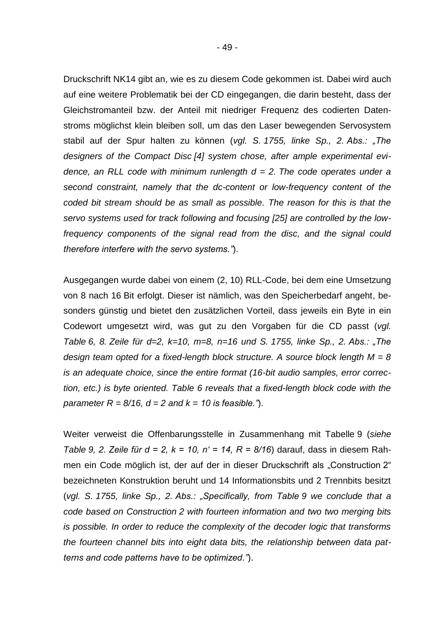Druckschrift NK14 gibt an, wie es zu diesem Code gekommen ist. Dabei wird auch auf eine weitere Problematik bei der CD eingegangen, die darin besteht, dass der Gleichstromanteil bzw. der Anteil mit niedriger Frequenz des codierten Datenstroms möglichst klein bleiben soll, um das den Laser bewegenden Servosystem stabil auf der Spur halten zu können (*vgl. S. 1755, linke Sp., 2. Abs.: "The designers of the Compact Disc [4] system chose, after ample experimental evidence, an RLL code with minimum runlength d = 2. The code operates under a second constraint, namely that the dc-content or low-frequency content of the coded bit stream should be as small as possible. The reason for this is that the servo systems used for track following and focusing [25] are controlled by the lowfrequency components of the signal read from the disc, and the signal could therefore interfere with the servo systems."*).

Ausgegangen wurde dabei von einem (2, 10) RLL-Code, bei dem eine Umsetzung von 8 nach 16 Bit erfolgt. Dieser ist nämlich, was den Speicherbedarf angeht, besonders günstig und bietet den zusätzlichen Vorteil, dass jeweils ein Byte in ein Codewort umgesetzt wird, was gut zu den Vorgaben für die CD passt (*vgl. Table 6, 8. Zeile für d=2, k=10, m=8, n=16 und S. 1755, linke Sp., 2. Abs.: "The design team opted for a fixed-length block structure. A source block length M = 8 is an adequate choice, since the entire format (16-bit audio samples, error correction, etc.) is byte oriented. Table 6 reveals that a fixed-length block code with the parameter R =*  $8/16$ *, d = 2 and k = 10 is feasible."*).

Weiter verweist die Offenbarungsstelle in Zusammenhang mit Tabelle 9 (*siehe Table 9, 2. Zeile für d = 2, k = 10, n' = 14, R = 8/16*) darauf, dass in diesem Rahmen ein Code möglich ist, der auf der in dieser Druckschrift als "Construction 2" bezeichneten Konstruktion beruht und 14 Informationsbits und 2 Trennbits besitzt (*vgl. S. 1755, linke Sp., 2. Abs.: "Specifically, from Table 9 we conclude that a code based on Construction 2 with fourteen information and two two merging bits is possible. In order to reduce the complexity of the decoder logic that transforms the fourteen channel bits into eight data bits, the relationship between data patterns and code patterns have to be optimized."*).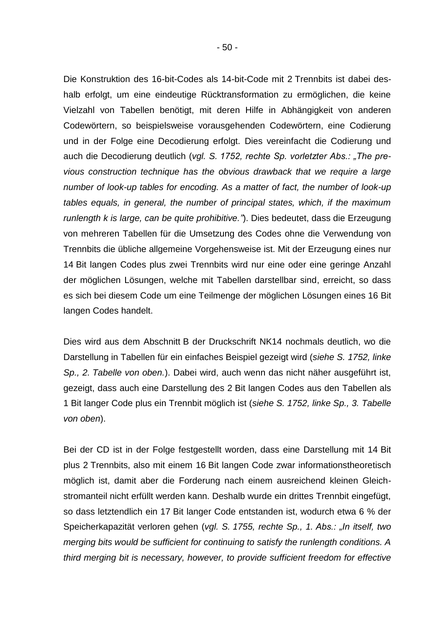Die Konstruktion des 16-bit-Codes als 14-bit-Code mit 2 Trennbits ist dabei deshalb erfolgt, um eine eindeutige Rücktransformation zu ermöglichen, die keine Vielzahl von Tabellen benötigt, mit deren Hilfe in Abhängigkeit von anderen Codewörtern, so beispielsweise vorausgehenden Codewörtern, eine Codierung und in der Folge eine Decodierung erfolgt. Dies vereinfacht die Codierung und auch die Decodierung deutlich (*vgl. S. 1752, rechte Sp. vorletzter Abs.: "The previous construction technique has the obvious drawback that we require a large number of look-up tables for encoding. As a matter of fact, the number of look-up tables equals, in general, the number of principal states, which, if the maximum runlength k is large, can be quite prohibitive."*). Dies bedeutet, dass die Erzeugung von mehreren Tabellen für die Umsetzung des Codes ohne die Verwendung von Trennbits die übliche allgemeine Vorgehensweise ist. Mit der Erzeugung eines nur 14 Bit langen Codes plus zwei Trennbits wird nur eine oder eine geringe Anzahl der möglichen Lösungen, welche mit Tabellen darstellbar sind, erreicht, so dass es sich bei diesem Code um eine Teilmenge der möglichen Lösungen eines 16 Bit

Dies wird aus dem Abschnitt B der Druckschrift NK14 nochmals deutlich, wo die Darstellung in Tabellen für ein einfaches Beispiel gezeigt wird (*siehe S. 1752, linke Sp., 2. Tabelle von oben.*). Dabei wird, auch wenn das nicht näher ausgeführt ist, gezeigt, dass auch eine Darstellung des 2 Bit langen Codes aus den Tabellen als 1 Bit langer Code plus ein Trennbit möglich ist (*siehe S. 1752, linke Sp., 3. Tabelle von oben*).

langen Codes handelt.

Bei der CD ist in der Folge festgestellt worden, dass eine Darstellung mit 14 Bit plus 2 Trennbits, also mit einem 16 Bit langen Code zwar informationstheoretisch möglich ist, damit aber die Forderung nach einem ausreichend kleinen Gleichstromanteil nicht erfüllt werden kann. Deshalb wurde ein drittes Trennbit eingefügt, so dass letztendlich ein 17 Bit langer Code entstanden ist, wodurch etwa 6 % der Speicherkapazität verloren gehen (*vgl. S. 1755, rechte Sp., 1. Abs.: "In itself, two merging bits would be sufficient for continuing to satisfy the runlength conditions. A third merging bit is necessary, however, to provide sufficient freedom for effective*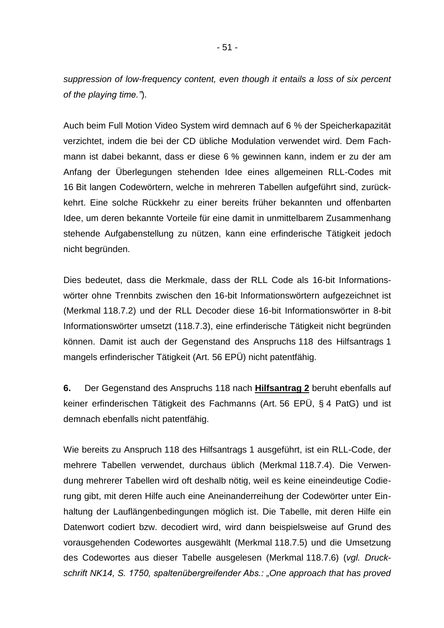*suppression of low-frequency content, even though it entails a loss of six percent of the playing time."*).

Auch beim Full Motion Video System wird demnach auf 6 % der Speicherkapazität verzichtet, indem die bei der CD übliche Modulation verwendet wird. Dem Fachmann ist dabei bekannt, dass er diese 6 % gewinnen kann, indem er zu der am Anfang der Überlegungen stehenden Idee eines allgemeinen RLL-Codes mit 16 Bit langen Codewörtern, welche in mehreren Tabellen aufgeführt sind, zurückkehrt. Eine solche Rückkehr zu einer bereits früher bekannten und offenbarten Idee, um deren bekannte Vorteile für eine damit in unmittelbarem Zusammenhang stehende Aufgabenstellung zu nützen, kann eine erfinderische Tätigkeit jedoch nicht begründen.

Dies bedeutet, dass die Merkmale, dass der RLL Code als 16-bit Informationswörter ohne Trennbits zwischen den 16-bit Informationswörtern aufgezeichnet ist (Merkmal 118.7.2) und der RLL Decoder diese 16-bit Informationswörter in 8-bit Informationswörter umsetzt (118.7.3), eine erfinderische Tätigkeit nicht begründen können. Damit ist auch der Gegenstand des Anspruchs 118 des Hilfsantrags 1 mangels erfinderischer Tätigkeit (Art. 56 EPÜ) nicht patentfähig.

**6.** Der Gegenstand des Anspruchs 118 nach **Hilfsantrag 2** beruht ebenfalls auf keiner erfinderischen Tätigkeit des Fachmanns (Art. 56 EPÜ, § 4 PatG) und ist demnach ebenfalls nicht patentfähig.

Wie bereits zu Anspruch 118 des Hilfsantrags 1 ausgeführt, ist ein RLL-Code, der mehrere Tabellen verwendet, durchaus üblich (Merkmal 118.7.4). Die Verwendung mehrerer Tabellen wird oft deshalb nötig, weil es keine eineindeutige Codierung gibt, mit deren Hilfe auch eine Aneinanderreihung der Codewörter unter Einhaltung der Lauflängenbedingungen möglich ist. Die Tabelle, mit deren Hilfe ein Datenwort codiert bzw. decodiert wird, wird dann beispielsweise auf Grund des vorausgehenden Codewortes ausgewählt (Merkmal 118.7.5) und die Umsetzung des Codewortes aus dieser Tabelle ausgelesen (Merkmal 118.7.6) (*vgl. Druckschrift NK14, S. 1750, spaltenübergreifender Abs.: "One approach that has proved*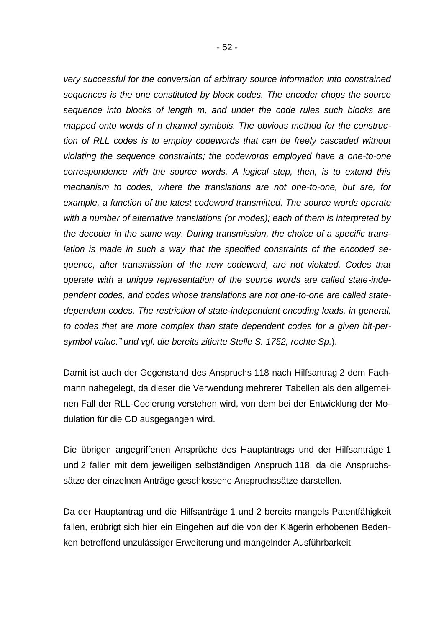*very successful for the conversion of arbitrary source information into constrained sequences is the one constituted by block codes. The encoder chops the source sequence into blocks of length m, and under the code rules such blocks are mapped onto words of n channel symbols. The obvious method for the construction of RLL codes is to employ codewords that can be freely cascaded without violating the sequence constraints; the codewords employed have a one-to-one correspondence with the source words. A logical step, then, is to extend this mechanism to codes, where the translations are not one-to-one, but are, for example, a function of the latest codeword transmitted. The source words operate with a number of alternative translations (or modes); each of them is interpreted by the decoder in the same way. During transmission, the choice of a specific translation is made in such a way that the specified constraints of the encoded sequence, after transmission of the new codeword, are not violated. Codes that operate with a unique representation of the source words are called state-independent codes, and codes whose translations are not one-to-one are called statedependent codes. The restriction of state-independent encoding leads, in general, to codes that are more complex than state dependent codes for a given bit-persymbol value." und vgl. die bereits zitierte Stelle S. 1752, rechte Sp.*).

Damit ist auch der Gegenstand des Anspruchs 118 nach Hilfsantrag 2 dem Fachmann nahegelegt, da dieser die Verwendung mehrerer Tabellen als den allgemeinen Fall der RLL-Codierung verstehen wird, von dem bei der Entwicklung der Modulation für die CD ausgegangen wird.

Die übrigen angegriffenen Ansprüche des Hauptantrags und der Hilfsanträge 1 und 2 fallen mit dem jeweiligen selbständigen Anspruch 118, da die Anspruchssätze der einzelnen Anträge geschlossene Anspruchssätze darstellen.

Da der Hauptantrag und die Hilfsanträge 1 und 2 bereits mangels Patentfähigkeit fallen, erübrigt sich hier ein Eingehen auf die von der Klägerin erhobenen Bedenken betreffend unzulässiger Erweiterung und mangelnder Ausführbarkeit.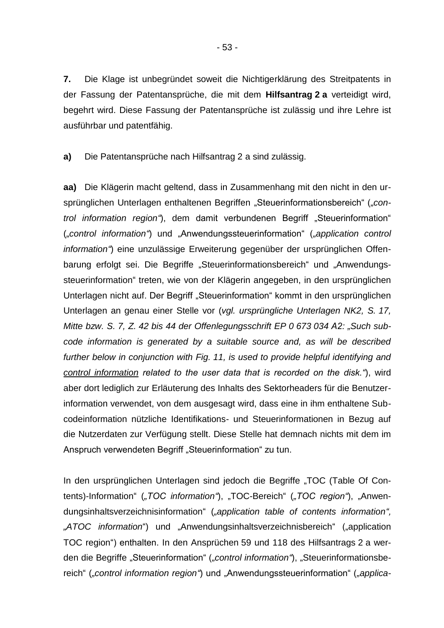**7.** Die Klage ist unbegründet soweit die Nichtigerklärung des Streitpatents in der Fassung der Patentansprüche, die mit dem **Hilfsantrag 2 a** verteidigt wird, begehrt wird. Diese Fassung der Patentansprüche ist zulässig und ihre Lehre ist ausführbar und patentfähig.

**a)** Die Patentansprüche nach Hilfsantrag 2 a sind zulässig.

**aa)** Die Klägerin macht geltend, dass in Zusammenhang mit den nicht in den ursprünglichen Unterlagen enthaltenen Begriffen "Steuerinformationsbereich" ("con*trol information region*"), dem damit verbundenen Begriff "Steuerinformation" (*"control information"*) und "Anwendungssteuerinformation" (*"application control information"*) eine unzulässige Erweiterung gegenüber der ursprünglichen Offenbarung erfolgt sei. Die Begriffe "Steuerinformationsbereich" und "Anwendungssteuerinformation" treten, wie von der Klägerin angegeben, in den ursprünglichen Unterlagen nicht auf. Der Begriff "Steuerinformation" kommt in den ursprünglichen Unterlagen an genau einer Stelle vor (*vgl. ursprüngliche Unterlagen NK2, S. 17, Mitte bzw. S. 7, Z. 42 bis 44 der Offenlegungsschrift EP 0 673 034 A2: "Such subcode information is generated by a suitable source and, as will be described further below in conjunction with Fig. 11, is used to provide helpful identifying and control information related to the user data that is recorded on the disk."*), wird aber dort lediglich zur Erläuterung des Inhalts des Sektorheaders für die Benutzerinformation verwendet, von dem ausgesagt wird, dass eine in ihm enthaltene Subcodeinformation nützliche Identifikations- und Steuerinformationen in Bezug auf die Nutzerdaten zur Verfügung stellt. Diese Stelle hat demnach nichts mit dem im Anspruch verwendeten Begriff "Steuerinformation" zu tun.

In den ursprünglichen Unterlagen sind jedoch die Begriffe "TOC (Table Of Contents)-Information" ("TOC information"), "TOC-Bereich" ("TOC region"), "Anwendungsinhaltsverzeichnisinformation" (*"application table of contents information",*  "ATOC information") und "Anwendungsinhaltsverzeichnisbereich" ("application TOC region") enthalten. In den Ansprüchen 59 und 118 des Hilfsantrags 2 a werden die Begriffe "Steuerinformation" ("control information"), "Steuerinformationsbereich" (*"control information region"*) und "Anwendungssteuerinformation" (*"applica-*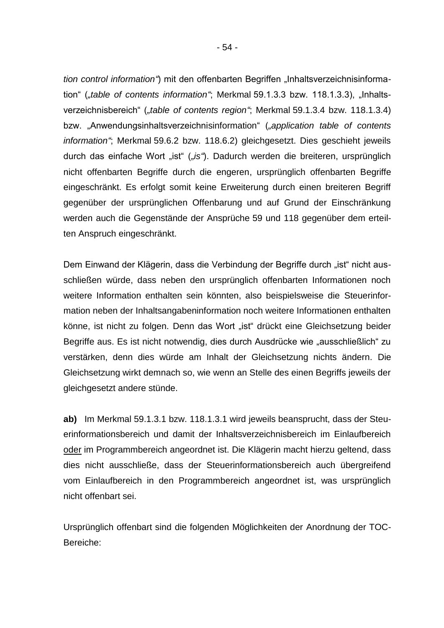*tion control information*") mit den offenbarten Begriffen "Inhaltsverzeichnisinformation" (*"table of contents information*"; Merkmal 59.1.3.3 bzw. 118.1.3.3), "Inhaltsverzeichnisbereich" ("table of contents region"; Merkmal 59.1.3.4 bzw. 118.1.3.4) bzw. "Anwendungsinhaltsverzeichnisinformation" (*"application table of contents information"*; Merkmal 59.6.2 bzw. 118.6.2) gleichgesetzt. Dies geschieht jeweils durch das einfache Wort "ist" ("is"). Dadurch werden die breiteren, ursprünglich nicht offenbarten Begriffe durch die engeren, ursprünglich offenbarten Begriffe eingeschränkt. Es erfolgt somit keine Erweiterung durch einen breiteren Begriff gegenüber der ursprünglichen Offenbarung und auf Grund der Einschränkung werden auch die Gegenstände der Ansprüche 59 und 118 gegenüber dem erteilten Anspruch eingeschränkt.

Dem Einwand der Klägerin, dass die Verbindung der Begriffe durch "ist" nicht ausschließen würde, dass neben den ursprünglich offenbarten Informationen noch weitere Information enthalten sein könnten, also beispielsweise die Steuerinformation neben der Inhaltsangabeninformation noch weitere Informationen enthalten könne, ist nicht zu folgen. Denn das Wort "ist" drückt eine Gleichsetzung beider Begriffe aus. Es ist nicht notwendig, dies durch Ausdrücke wie "ausschließlich" zu verstärken, denn dies würde am Inhalt der Gleichsetzung nichts ändern. Die Gleichsetzung wirkt demnach so, wie wenn an Stelle des einen Begriffs jeweils der gleichgesetzt andere stünde.

**ab)** Im Merkmal 59.1.3.1 bzw. 118.1.3.1 wird jeweils beansprucht, dass der Steuerinformationsbereich und damit der Inhaltsverzeichnisbereich im Einlaufbereich oder im Programmbereich angeordnet ist. Die Klägerin macht hierzu geltend, dass dies nicht ausschließe, dass der Steuerinformationsbereich auch übergreifend vom Einlaufbereich in den Programmbereich angeordnet ist, was ursprünglich nicht offenbart sei.

Ursprünglich offenbart sind die folgenden Möglichkeiten der Anordnung der TOC-Bereiche: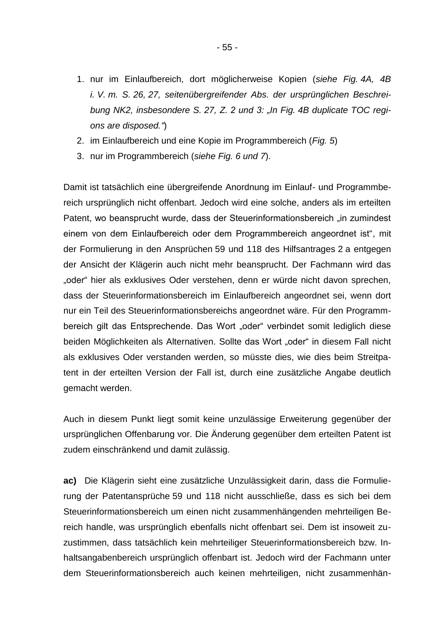- 1. nur im Einlaufbereich, dort möglicherweise Kopien (*siehe Fig. 4A, 4B i. V. m. S. 26, 27, seitenübergreifender Abs. der ursprünglichen Beschreibung NK2, insbesondere S. 27, Z. 2 und 3: "In Fig. 4B duplicate TOC regions are disposed."*)
- 2. im Einlaufbereich und eine Kopie im Programmbereich (*Fig. 5*)
- 3. nur im Programmbereich (*siehe Fig. 6 und 7*).

Damit ist tatsächlich eine übergreifende Anordnung im Einlauf- und Programmbereich ursprünglich nicht offenbart. Jedoch wird eine solche, anders als im erteilten Patent, wo beansprucht wurde, dass der Steuerinformationsbereich "in zumindest einem von dem Einlaufbereich oder dem Programmbereich angeordnet ist", mit der Formulierung in den Ansprüchen 59 und 118 des Hilfsantrages 2 a entgegen der Ansicht der Klägerin auch nicht mehr beansprucht. Der Fachmann wird das "oder" hier als exklusives Oder verstehen, denn er würde nicht davon sprechen, dass der Steuerinformationsbereich im Einlaufbereich angeordnet sei, wenn dort nur ein Teil des Steuerinformationsbereichs angeordnet wäre. Für den Programmbereich gilt das Entsprechende. Das Wort "oder" verbindet somit lediglich diese beiden Möglichkeiten als Alternativen. Sollte das Wort "oder" in diesem Fall nicht als exklusives Oder verstanden werden, so müsste dies, wie dies beim Streitpatent in der erteilten Version der Fall ist, durch eine zusätzliche Angabe deutlich gemacht werden.

Auch in diesem Punkt liegt somit keine unzulässige Erweiterung gegenüber der ursprünglichen Offenbarung vor. Die Änderung gegenüber dem erteilten Patent ist zudem einschränkend und damit zulässig.

**ac)** Die Klägerin sieht eine zusätzliche Unzulässigkeit darin, dass die Formulierung der Patentansprüche 59 und 118 nicht ausschließe, dass es sich bei dem Steuerinformationsbereich um einen nicht zusammenhängenden mehrteiligen Bereich handle, was ursprünglich ebenfalls nicht offenbart sei. Dem ist insoweit zuzustimmen, dass tatsächlich kein mehrteiliger Steuerinformationsbereich bzw. Inhaltsangabenbereich ursprünglich offenbart ist. Jedoch wird der Fachmann unter dem Steuerinformationsbereich auch keinen mehrteiligen, nicht zusammenhän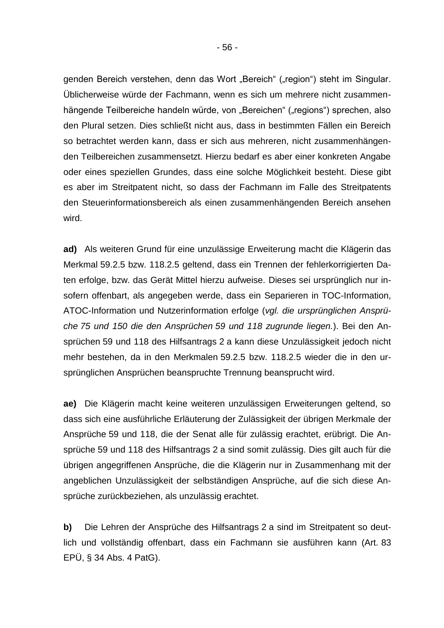genden Bereich verstehen, denn das Wort "Bereich" ("region") steht im Singular. Üblicherweise würde der Fachmann, wenn es sich um mehrere nicht zusammenhängende Teilbereiche handeln würde, von "Bereichen" ("regions") sprechen, also den Plural setzen. Dies schließt nicht aus, dass in bestimmten Fällen ein Bereich so betrachtet werden kann, dass er sich aus mehreren, nicht zusammenhängenden Teilbereichen zusammensetzt. Hierzu bedarf es aber einer konkreten Angabe oder eines speziellen Grundes, dass eine solche Möglichkeit besteht. Diese gibt es aber im Streitpatent nicht, so dass der Fachmann im Falle des Streitpatents den Steuerinformationsbereich als einen zusammenhängenden Bereich ansehen wird.

**ad)** Als weiteren Grund für eine unzulässige Erweiterung macht die Klägerin das Merkmal 59.2.5 bzw. 118.2.5 geltend, dass ein Trennen der fehlerkorrigierten Daten erfolge, bzw. das Gerät Mittel hierzu aufweise. Dieses sei ursprünglich nur insofern offenbart, als angegeben werde, dass ein Separieren in TOC-Information, ATOC-Information und Nutzerinformation erfolge (*vgl. die ursprünglichen Ansprüche 75 und 150 die den Ansprüchen 59 und 118 zugrunde liegen.*). Bei den Ansprüchen 59 und 118 des Hilfsantrags 2 a kann diese Unzulässigkeit jedoch nicht mehr bestehen, da in den Merkmalen 59.2.5 bzw. 118.2.5 wieder die in den ursprünglichen Ansprüchen beanspruchte Trennung beansprucht wird.

**ae)** Die Klägerin macht keine weiteren unzulässigen Erweiterungen geltend, so dass sich eine ausführliche Erläuterung der Zulässigkeit der übrigen Merkmale der Ansprüche 59 und 118, die der Senat alle für zulässig erachtet, erübrigt. Die Ansprüche 59 und 118 des Hilfsantrags 2 a sind somit zulässig. Dies gilt auch für die übrigen angegriffenen Ansprüche, die die Klägerin nur in Zusammenhang mit der angeblichen Unzulässigkeit der selbständigen Ansprüche, auf die sich diese Ansprüche zurückbeziehen, als unzulässig erachtet.

**b)** Die Lehren der Ansprüche des Hilfsantrags 2 a sind im Streitpatent so deutlich und vollständig offenbart, dass ein Fachmann sie ausführen kann (Art. 83 EPÜ, § 34 Abs. 4 PatG).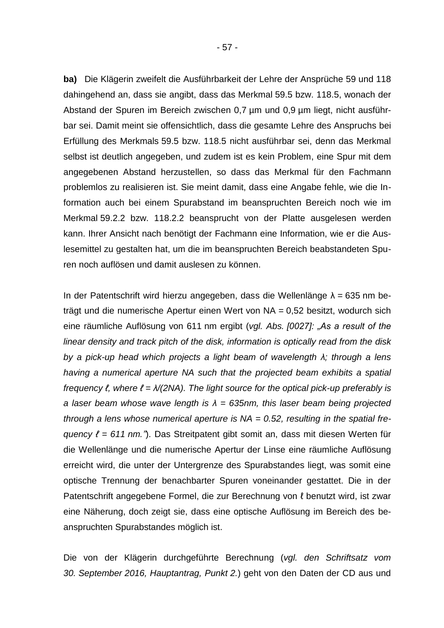**ba)** Die Klägerin zweifelt die Ausführbarkeit der Lehre der Ansprüche 59 und 118 dahingehend an, dass sie angibt, dass das Merkmal 59.5 bzw. 118.5, wonach der Abstand der Spuren im Bereich zwischen 0,7 µm und 0,9 µm liegt, nicht ausführbar sei. Damit meint sie offensichtlich, dass die gesamte Lehre des Anspruchs bei Erfüllung des Merkmals 59.5 bzw. 118.5 nicht ausführbar sei, denn das Merkmal selbst ist deutlich angegeben, und zudem ist es kein Problem, eine Spur mit dem angegebenen Abstand herzustellen, so dass das Merkmal für den Fachmann problemlos zu realisieren ist. Sie meint damit, dass eine Angabe fehle, wie die Information auch bei einem Spurabstand im beanspruchten Bereich noch wie im Merkmal 59.2.2 bzw. 118.2.2 beansprucht von der Platte ausgelesen werden kann. Ihrer Ansicht nach benötigt der Fachmann eine Information, wie er die Auslesemittel zu gestalten hat, um die im beanspruchten Bereich beabstandeten Spuren noch auflösen und damit auslesen zu können.

In der Patentschrift wird hierzu angegeben, dass die Wellenlänge λ = 635 nm beträgt und die numerische Apertur einen Wert von NA = 0,52 besitzt, wodurch sich eine räumliche Auflösung von 611 nm ergibt (*vgl. Abs. [0027]: "As a result of the linear density and track pitch of the disk, information is optically read from the disk by a pick-up head which projects a light beam of wavelength λ; through a lens having a numerical aperture NA such that the projected beam exhibits a spatial frequency ℓ, where ℓ = λ/(2NA). The light source for the optical pick-up preferably is a laser beam whose wave length is λ = 635nm, this laser beam being projected through a lens whose numerical aperture is NA = 0.52, resulting in the spatial frequency ℓ = 611 nm."*). Das Streitpatent gibt somit an, dass mit diesen Werten für die Wellenlänge und die numerische Apertur der Linse eine räumliche Auflösung erreicht wird, die unter der Untergrenze des Spurabstandes liegt, was somit eine optische Trennung der benachbarter Spuren voneinander gestattet. Die in der Patentschrift angegebene Formel, die zur Berechnung von ℓ benutzt wird, ist zwar eine Näherung, doch zeigt sie, dass eine optische Auflösung im Bereich des beanspruchten Spurabstandes möglich ist.

Die von der Klägerin durchgeführte Berechnung (*vgl. den Schriftsatz vom 30. September 2016, Hauptantrag, Punkt 2.*) geht von den Daten der CD aus und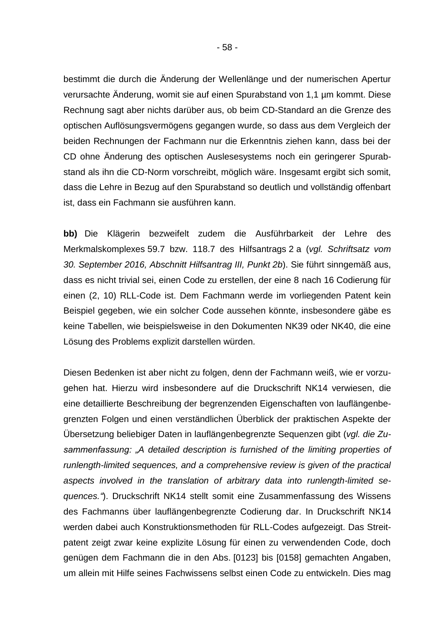bestimmt die durch die Änderung der Wellenlänge und der numerischen Apertur verursachte Änderung, womit sie auf einen Spurabstand von 1,1 µm kommt. Diese Rechnung sagt aber nichts darüber aus, ob beim CD-Standard an die Grenze des optischen Auflösungsvermögens gegangen wurde, so dass aus dem Vergleich der beiden Rechnungen der Fachmann nur die Erkenntnis ziehen kann, dass bei der CD ohne Änderung des optischen Auslesesystems noch ein geringerer Spurabstand als ihn die CD-Norm vorschreibt, möglich wäre. Insgesamt ergibt sich somit, dass die Lehre in Bezug auf den Spurabstand so deutlich und vollständig offenbart ist, dass ein Fachmann sie ausführen kann.

**bb)** Die Klägerin bezweifelt zudem die Ausführbarkeit der Lehre des Merkmalskomplexes 59.7 bzw. 118.7 des Hilfsantrags 2 a (*vgl. Schriftsatz vom 30. September 2016, Abschnitt Hilfsantrag III, Punkt 2b*). Sie führt sinngemäß aus, dass es nicht trivial sei, einen Code zu erstellen, der eine 8 nach 16 Codierung für einen (2, 10) RLL-Code ist. Dem Fachmann werde im vorliegenden Patent kein Beispiel gegeben, wie ein solcher Code aussehen könnte, insbesondere gäbe es keine Tabellen, wie beispielsweise in den Dokumenten NK39 oder NK40, die eine Lösung des Problems explizit darstellen würden.

Diesen Bedenken ist aber nicht zu folgen, denn der Fachmann weiß, wie er vorzugehen hat. Hierzu wird insbesondere auf die Druckschrift NK14 verwiesen, die eine detaillierte Beschreibung der begrenzenden Eigenschaften von lauflängenbegrenzten Folgen und einen verständlichen Überblick der praktischen Aspekte der Übersetzung beliebiger Daten in lauflängenbegrenzte Sequenzen gibt (*vgl. die Zusammenfassung: "A detailed description is furnished of the limiting properties of runlength-limited sequences, and a comprehensive review is given of the practical aspects involved in the translation of arbitrary data into runlength-limited sequences."*). Druckschrift NK14 stellt somit eine Zusammenfassung des Wissens des Fachmanns über lauflängenbegrenzte Codierung dar. In Druckschrift NK14 werden dabei auch Konstruktionsmethoden für RLL-Codes aufgezeigt. Das Streitpatent zeigt zwar keine explizite Lösung für einen zu verwendenden Code, doch genügen dem Fachmann die in den Abs. [0123] bis [0158] gemachten Angaben, um allein mit Hilfe seines Fachwissens selbst einen Code zu entwickeln. Dies mag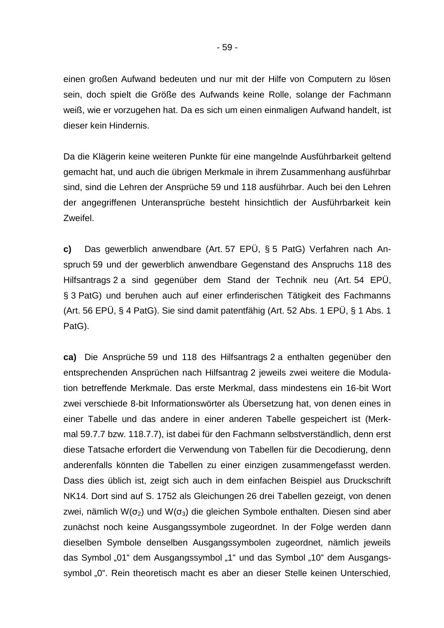einen großen Aufwand bedeuten und nur mit der Hilfe von Computern zu lösen sein, doch spielt die Größe des Aufwands keine Rolle, solange der Fachmann weiß, wie er vorzugehen hat. Da es sich um einen einmaligen Aufwand handelt, ist dieser kein Hindernis.

Da die Klägerin keine weiteren Punkte für eine mangelnde Ausführbarkeit geltend gemacht hat, und auch die übrigen Merkmale in ihrem Zusammenhang ausführbar sind, sind die Lehren der Ansprüche 59 und 118 ausführbar. Auch bei den Lehren der angegriffenen Unteransprüche besteht hinsichtlich der Ausführbarkeit kein Zweifel.

**c)** Das gewerblich anwendbare (Art. 57 EPÜ, § 5 PatG) Verfahren nach Anspruch 59 und der gewerblich anwendbare Gegenstand des Anspruchs 118 des Hilfsantrags 2 a sind gegenüber dem Stand der Technik neu (Art. 54 EPÜ, § 3 PatG) und beruhen auch auf einer erfinderischen Tätigkeit des Fachmanns (Art. 56 EPÜ, § 4 PatG). Sie sind damit patentfähig (Art. 52 Abs. 1 EPÜ, § 1 Abs. 1 PatG).

**ca)** Die Ansprüche 59 und 118 des Hilfsantrags 2 a enthalten gegenüber den entsprechenden Ansprüchen nach Hilfsantrag 2 jeweils zwei weitere die Modulation betreffende Merkmale. Das erste Merkmal, dass mindestens ein 16-bit Wort zwei verschiede 8-bit Informationswörter als Übersetzung hat, von denen eines in einer Tabelle und das andere in einer anderen Tabelle gespeichert ist (Merkmal 59.7.7 bzw. 118.7.7), ist dabei für den Fachmann selbstverständlich, denn erst diese Tatsache erfordert die Verwendung von Tabellen für die Decodierung, denn anderenfalls könnten die Tabellen zu einer einzigen zusammengefasst werden. Dass dies üblich ist, zeigt sich auch in dem einfachen Beispiel aus Druckschrift NK14. Dort sind auf S. 1752 als Gleichungen 26 drei Tabellen gezeigt, von denen zwei, nämlich W( $\sigma_2$ ) und W( $\sigma_3$ ) die gleichen Symbole enthalten. Diesen sind aber zunächst noch keine Ausgangssymbole zugeordnet. In der Folge werden dann dieselben Symbole denselben Ausgangssymbolen zugeordnet, nämlich jeweils das Symbol "01" dem Ausgangssymbol "1" und das Symbol "10" dem Ausgangssymbol "0". Rein theoretisch macht es aber an dieser Stelle keinen Unterschied,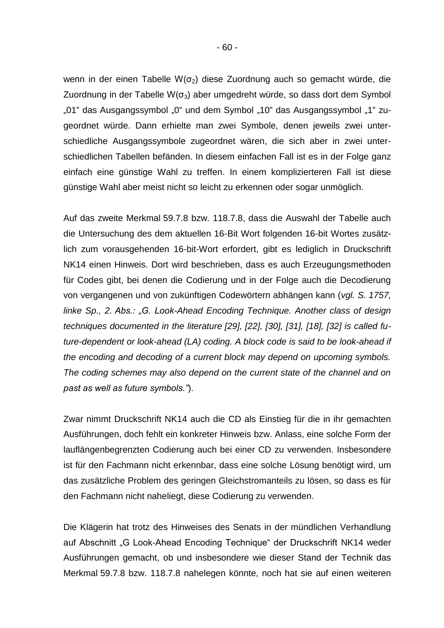wenn in der einen Tabelle W( $\sigma$ <sub>2</sub>) diese Zuordnung auch so gemacht würde, die Zuordnung in der Tabelle W( $\sigma_3$ ) aber umgedreht würde, so dass dort dem Symbol "01" das Ausgangssymbol "0" und dem Symbol "10" das Ausgangssymbol "1" zugeordnet würde. Dann erhielte man zwei Symbole, denen jeweils zwei unterschiedliche Ausgangssymbole zugeordnet wären, die sich aber in zwei unterschiedlichen Tabellen befänden. In diesem einfachen Fall ist es in der Folge ganz einfach eine günstige Wahl zu treffen. In einem komplizierteren Fall ist diese günstige Wahl aber meist nicht so leicht zu erkennen oder sogar unmöglich.

Auf das zweite Merkmal 59.7.8 bzw. 118.7.8, dass die Auswahl der Tabelle auch die Untersuchung des dem aktuellen 16-Bit Wort folgenden 16-bit Wortes zusätzlich zum vorausgehenden 16-bit-Wort erfordert, gibt es lediglich in Druckschrift NK14 einen Hinweis. Dort wird beschrieben, dass es auch Erzeugungsmethoden für Codes gibt, bei denen die Codierung und in der Folge auch die Decodierung von vergangenen und von zukünftigen Codewörtern abhängen kann (*vgl. S. 1757, linke Sp., 2. Abs.: "G. Look-Ahead Encoding Technique. Another class of design techniques documented in the literature [29], [22], [30], [31], [18], [32] is called future-dependent or look-ahead (LA) coding. A block code is said to be look-ahead if the encoding and decoding of a current block may depend on upcoming symbols. The coding schemes may also depend on the current state of the channel and on past as well as future symbols."*).

Zwar nimmt Druckschrift NK14 auch die CD als Einstieg für die in ihr gemachten Ausführungen, doch fehlt ein konkreter Hinweis bzw. Anlass, eine solche Form der lauflängenbegrenzten Codierung auch bei einer CD zu verwenden. Insbesondere ist für den Fachmann nicht erkennbar, dass eine solche Lösung benötigt wird, um das zusätzliche Problem des geringen Gleichstromanteils zu lösen, so dass es für den Fachmann nicht naheliegt, diese Codierung zu verwenden.

Die Klägerin hat trotz des Hinweises des Senats in der mündlichen Verhandlung auf Abschnitt "G Look-Ahead Encoding Technique" der Druckschrift NK14 weder Ausführungen gemacht, ob und insbesondere wie dieser Stand der Technik das Merkmal 59.7.8 bzw. 118.7.8 nahelegen könnte, noch hat sie auf einen weiteren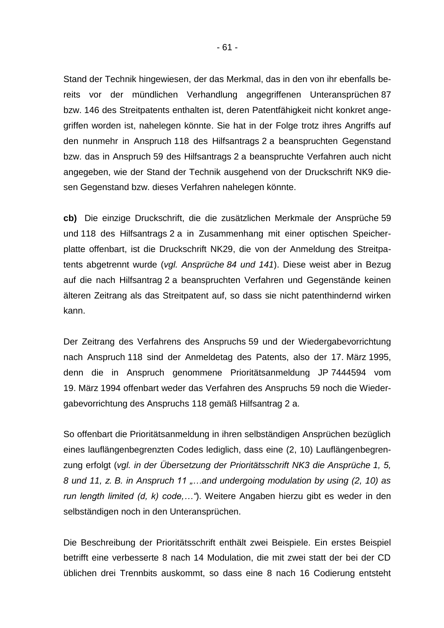Stand der Technik hingewiesen, der das Merkmal, das in den von ihr ebenfalls bereits vor der mündlichen Verhandlung angegriffenen Unteransprüchen 87 bzw. 146 des Streitpatents enthalten ist, deren Patentfähigkeit nicht konkret angegriffen worden ist, nahelegen könnte. Sie hat in der Folge trotz ihres Angriffs auf den nunmehr in Anspruch 118 des Hilfsantrags 2 a beanspruchten Gegenstand bzw. das in Anspruch 59 des Hilfsantrags 2 a beanspruchte Verfahren auch nicht angegeben, wie der Stand der Technik ausgehend von der Druckschrift NK9 diesen Gegenstand bzw. dieses Verfahren nahelegen könnte.

**cb)** Die einzige Druckschrift, die die zusätzlichen Merkmale der Ansprüche 59 und 118 des Hilfsantrags 2 a in Zusammenhang mit einer optischen Speicherplatte offenbart, ist die Druckschrift NK29, die von der Anmeldung des Streitpatents abgetrennt wurde (*vgl. Ansprüche 84 und 141*). Diese weist aber in Bezug auf die nach Hilfsantrag 2 a beanspruchten Verfahren und Gegenstände keinen älteren Zeitrang als das Streitpatent auf, so dass sie nicht patenthindernd wirken kann.

Der Zeitrang des Verfahrens des Anspruchs 59 und der Wiedergabevorrichtung nach Anspruch 118 sind der Anmeldetag des Patents, also der 17. März 1995, denn die in Anspruch genommene Prioritätsanmeldung JP 7444594 vom 19. März 1994 offenbart weder das Verfahren des Anspruchs 59 noch die Wiedergabevorrichtung des Anspruchs 118 gemäß Hilfsantrag 2 a.

So offenbart die Prioritätsanmeldung in ihren selbständigen Ansprüchen bezüglich eines lauflängenbegrenzten Codes lediglich, dass eine (2, 10) Lauflängenbegrenzung erfolgt (*vgl. in der Übersetzung der Prioritätsschrift NK3 die Ansprüche 1, 5, 8 und 11, z. B. in Anspruch 11 "…and undergoing modulation by using (2, 10) as run length limited (d, k) code,…"*). Weitere Angaben hierzu gibt es weder in den selbständigen noch in den Unteransprüchen.

Die Beschreibung der Prioritätsschrift enthält zwei Beispiele. Ein erstes Beispiel betrifft eine verbesserte 8 nach 14 Modulation, die mit zwei statt der bei der CD üblichen drei Trennbits auskommt, so dass eine 8 nach 16 Codierung entsteht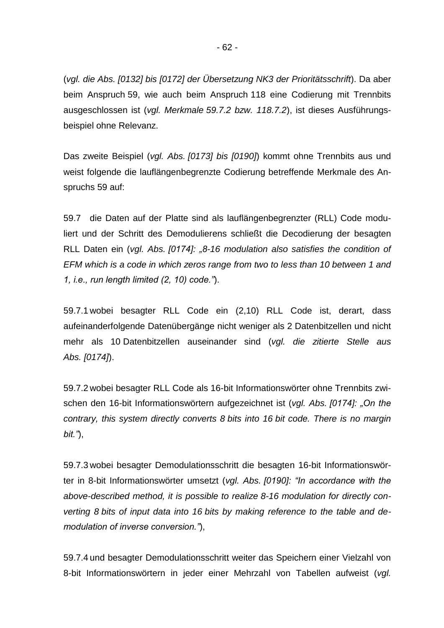(*vgl. die Abs. [0132] bis [0172] der Übersetzung NK3 der Prioritätsschrift*). Da aber beim Anspruch 59, wie auch beim Anspruch 118 eine Codierung mit Trennbits ausgeschlossen ist (*vgl. Merkmale 59.7.2 bzw. 118.7.2*), ist dieses Ausführungsbeispiel ohne Relevanz.

Das zweite Beispiel (*vgl. Abs. [0173] bis [0190]*) kommt ohne Trennbits aus und weist folgende die lauflängenbegrenzte Codierung betreffende Merkmale des Anspruchs 59 auf:

59.7 die Daten auf der Platte sind als lauflängenbegrenzter (RLL) Code moduliert und der Schritt des Demodulierens schließt die Decodierung der besagten RLL Daten ein (*vgl. Abs. [0174]: "8-16 modulation also satisfies the condition of EFM which is a code in which zeros range from two to less than 10 between 1 and 1, i.e., run length limited (2, 10) code."*).

59.7.1 wobei besagter RLL Code ein (2,10) RLL Code ist, derart, dass aufeinanderfolgende Datenübergänge nicht weniger als 2 Datenbitzellen und nicht mehr als 10 Datenbitzellen auseinander sind (*vgl. die zitierte Stelle aus Abs. [0174]*).

59.7.2 wobei besagter RLL Code als 16-bit Informationswörter ohne Trennbits zwischen den 16-bit Informationswörtern aufgezeichnet ist (*vgl. Abs. [0174]: "On the contrary, this system directly converts 8 bits into 16 bit code. There is no margin bit."*),

59.7.3 wobei besagter Demodulationsschritt die besagten 16-bit Informationswörter in 8-bit Informationswörter umsetzt (*vgl. Abs. [0190]: "In accordance with the above-described method, it is possible to realize 8-16 modulation for directly converting 8 bits of input data into 16 bits by making reference to the table and demodulation of inverse conversion."*),

59.7.4 und besagter Demodulationsschritt weiter das Speichern einer Vielzahl von 8-bit Informationswörtern in jeder einer Mehrzahl von Tabellen aufweist (*vgl.*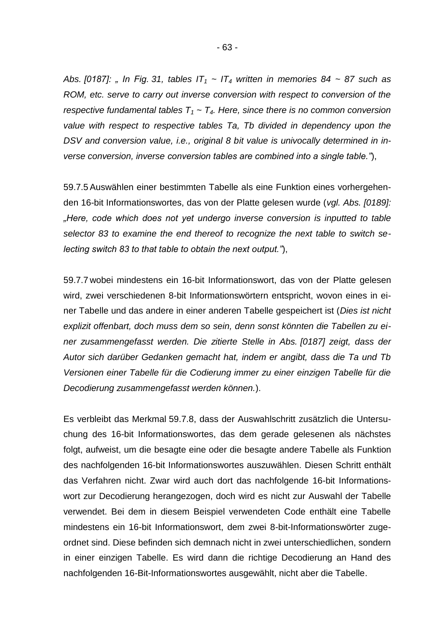Abs. [0187]: " In Fig. 31, tables  $IT_1 \sim IT_4$  written in memories 84 ~ 87 such as *ROM, etc. serve to carry out inverse conversion with respect to conversion of the respective fundamental tables T<sup>1</sup> ~ T4. Here, since there is no common conversion value with respect to respective tables Ta, Tb divided in dependency upon the*  DSV and conversion value, *i.e.*, original 8 bit value is univocally determined in in*verse conversion, inverse conversion tables are combined into a single table."*),

59.7.5 Auswählen einer bestimmten Tabelle als eine Funktion eines vorhergehenden 16-bit Informationswortes, das von der Platte gelesen wurde (*vgl. Abs. [0189]: "Here, code which does not yet undergo inverse conversion is inputted to table selector 83 to examine the end thereof to recognize the next table to switch selecting switch 83 to that table to obtain the next output."*),

59.7.7 wobei mindestens ein 16-bit Informationswort, das von der Platte gelesen wird, zwei verschiedenen 8-bit Informationswörtern entspricht, wovon eines in einer Tabelle und das andere in einer anderen Tabelle gespeichert ist (*Dies ist nicht explizit offenbart, doch muss dem so sein, denn sonst könnten die Tabellen zu einer zusammengefasst werden. Die zitierte Stelle in Abs. [0187] zeigt, dass der Autor sich darüber Gedanken gemacht hat, indem er angibt, dass die Ta und Tb Versionen einer Tabelle für die Codierung immer zu einer einzigen Tabelle für die Decodierung zusammengefasst werden können.*).

Es verbleibt das Merkmal 59.7.8, dass der Auswahlschritt zusätzlich die Untersuchung des 16-bit Informationswortes, das dem gerade gelesenen als nächstes folgt, aufweist, um die besagte eine oder die besagte andere Tabelle als Funktion des nachfolgenden 16-bit Informationswortes auszuwählen. Diesen Schritt enthält das Verfahren nicht. Zwar wird auch dort das nachfolgende 16-bit Informationswort zur Decodierung herangezogen, doch wird es nicht zur Auswahl der Tabelle verwendet. Bei dem in diesem Beispiel verwendeten Code enthält eine Tabelle mindestens ein 16-bit Informationswort, dem zwei 8-bit-Informationswörter zugeordnet sind. Diese befinden sich demnach nicht in zwei unterschiedlichen, sondern in einer einzigen Tabelle. Es wird dann die richtige Decodierung an Hand des nachfolgenden 16-Bit-Informationswortes ausgewählt, nicht aber die Tabelle.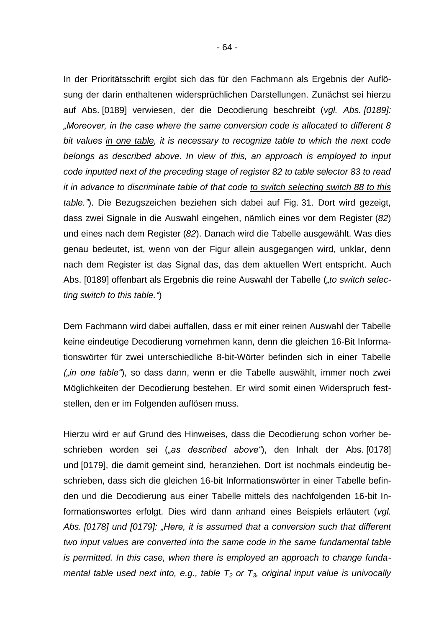In der Prioritätsschrift ergibt sich das für den Fachmann als Ergebnis der Auflösung der darin enthaltenen widersprüchlichen Darstellungen. Zunächst sei hierzu auf Abs. [0189] verwiesen, der die Decodierung beschreibt (*vgl. Abs. [0189]: "Moreover, in the case where the same conversion code is allocated to different 8 bit values in one table, it is necessary to recognize table to which the next code belongs as described above. In view of this, an approach is employed to input code inputted next of the preceding stage of register 82 to table selector 83 to read it in advance to discriminate table of that code to switch selecting switch 88 to this table."*). Die Bezugszeichen beziehen sich dabei auf Fig. 31. Dort wird gezeigt, dass zwei Signale in die Auswahl eingehen, nämlich eines vor dem Register (*82*) und eines nach dem Register (*82*). Danach wird die Tabelle ausgewählt. Was dies genau bedeutet, ist, wenn von der Figur allein ausgegangen wird, unklar, denn nach dem Register ist das Signal das, das dem aktuellen Wert entspricht. Auch Abs. [0189] offenbart als Ergebnis die reine Auswahl der Tabelle (*"to switch selecting switch to this table."*)

Dem Fachmann wird dabei auffallen, dass er mit einer reinen Auswahl der Tabelle keine eindeutige Decodierung vornehmen kann, denn die gleichen 16-Bit Informationswörter für zwei unterschiedliche 8-bit-Wörter befinden sich in einer Tabelle *("in one table"*), so dass dann, wenn er die Tabelle auswählt, immer noch zwei Möglichkeiten der Decodierung bestehen. Er wird somit einen Widerspruch feststellen, den er im Folgenden auflösen muss.

Hierzu wird er auf Grund des Hinweises, dass die Decodierung schon vorher beschrieben worden sei (*"as described above"*), den Inhalt der Abs. [0178] und [0179], die damit gemeint sind, heranziehen. Dort ist nochmals eindeutig beschrieben, dass sich die gleichen 16-bit Informationswörter in einer Tabelle befinden und die Decodierung aus einer Tabelle mittels des nachfolgenden 16-bit Informationswortes erfolgt. Dies wird dann anhand eines Beispiels erläutert (*vgl.*  Abs. [0178] und [0179]: "Here, it is assumed that a conversion such that different *two input values are converted into the same code in the same fundamental table is permitted. In this case, when there is employed an approach to change fundamental table used next into, e.g., table T<sup>2</sup> or T3, original input value is univocally*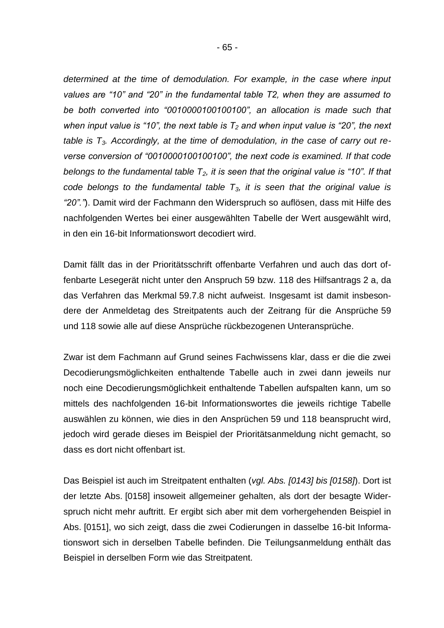*determined at the time of demodulation. For example, in the case where input values are "10" and "20" in the fundamental table T2, when they are assumed to be both converted into "0010000100100100", an allocation is made such that when input value is "10", the next table is T<sup>2</sup> and when input value is "20", the next table is T3. Accordingly, at the time of demodulation, in the case of carry out reverse conversion of "0010000100100100", the next code is examined. If that code belongs to the fundamental table T2, it is seen that the original value is "10". If that code belongs to the fundamental table T3, it is seen that the original value is "20"."*). Damit wird der Fachmann den Widerspruch so auflösen, dass mit Hilfe des nachfolgenden Wertes bei einer ausgewählten Tabelle der Wert ausgewählt wird, in den ein 16-bit Informationswort decodiert wird.

Damit fällt das in der Prioritätsschrift offenbarte Verfahren und auch das dort offenbarte Lesegerät nicht unter den Anspruch 59 bzw. 118 des Hilfsantrags 2 a, da das Verfahren das Merkmal 59.7.8 nicht aufweist. Insgesamt ist damit insbesondere der Anmeldetag des Streitpatents auch der Zeitrang für die Ansprüche 59 und 118 sowie alle auf diese Ansprüche rückbezogenen Unteransprüche.

Zwar ist dem Fachmann auf Grund seines Fachwissens klar, dass er die die zwei Decodierungsmöglichkeiten enthaltende Tabelle auch in zwei dann jeweils nur noch eine Decodierungsmöglichkeit enthaltende Tabellen aufspalten kann, um so mittels des nachfolgenden 16-bit Informationswortes die jeweils richtige Tabelle auswählen zu können, wie dies in den Ansprüchen 59 und 118 beansprucht wird, jedoch wird gerade dieses im Beispiel der Prioritätsanmeldung nicht gemacht, so dass es dort nicht offenbart ist.

Das Beispiel ist auch im Streitpatent enthalten (*vgl. Abs. [0143] bis [0158]*). Dort ist der letzte Abs. [0158] insoweit allgemeiner gehalten, als dort der besagte Widerspruch nicht mehr auftritt. Er ergibt sich aber mit dem vorhergehenden Beispiel in Abs. [0151], wo sich zeigt, dass die zwei Codierungen in dasselbe 16-bit Informationswort sich in derselben Tabelle befinden. Die Teilungsanmeldung enthält das Beispiel in derselben Form wie das Streitpatent.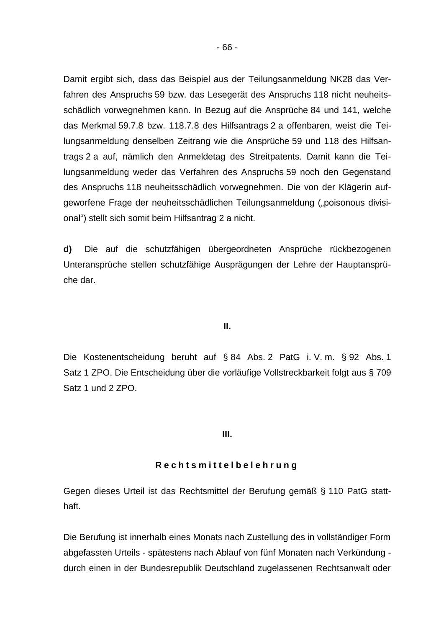Damit ergibt sich, dass das Beispiel aus der Teilungsanmeldung NK28 das Verfahren des Anspruchs 59 bzw. das Lesegerät des Anspruchs 118 nicht neuheitsschädlich vorwegnehmen kann. In Bezug auf die Ansprüche 84 und 141, welche das Merkmal 59.7.8 bzw. 118.7.8 des Hilfsantrags 2 a offenbaren, weist die Teilungsanmeldung denselben Zeitrang wie die Ansprüche 59 und 118 des Hilfsantrags 2 a auf, nämlich den Anmeldetag des Streitpatents. Damit kann die Teilungsanmeldung weder das Verfahren des Anspruchs 59 noch den Gegenstand des Anspruchs 118 neuheitsschädlich vorwegnehmen. Die von der Klägerin aufgeworfene Frage der neuheitsschädlichen Teilungsanmeldung ("poisonous divisional") stellt sich somit beim Hilfsantrag 2 a nicht.

**d)** Die auf die schutzfähigen übergeordneten Ansprüche rückbezogenen Unteransprüche stellen schutzfähige Ausprägungen der Lehre der Hauptansprüche dar.

#### **II.**

Die Kostenentscheidung beruht auf § 84 Abs. 2 PatG i. V. m. § 92 Abs. 1 Satz 1 ZPO. Die Entscheidung über die vorläufige Vollstreckbarkeit folgt aus § 709 Satz 1 und 2 ZPO.

#### **III.**

#### **R e c h t s m i t t e l b e l e h r u n g**

Gegen dieses Urteil ist das Rechtsmittel der Berufung gemäß § 110 PatG statthaft.

Die Berufung ist innerhalb eines Monats nach Zustellung des in vollständiger Form abgefassten Urteils - spätestens nach Ablauf von fünf Monaten nach Verkündung durch einen in der Bundesrepublik Deutschland zugelassenen Rechtsanwalt oder